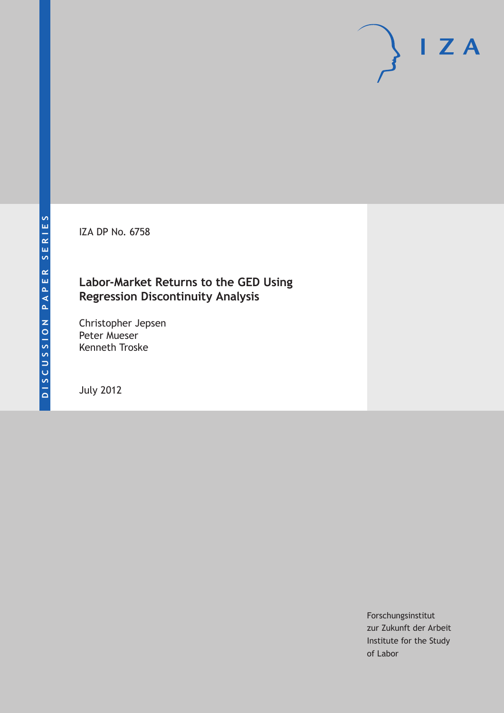IZA DP No. 6758

### **Labor-Market Returns to the GED Using Regression Discontinuity Analysis**

Christopher Jepsen Peter Mueser Kenneth Troske

July 2012

Forschungsinstitut zur Zukunft der Arbeit Institute for the Study of Labor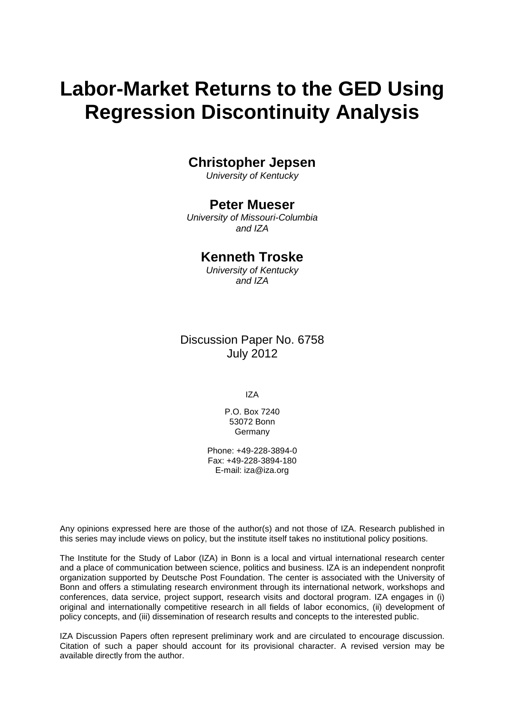# **Labor-Market Returns to the GED Using Regression Discontinuity Analysis**

### **Christopher Jepsen**

*University of Kentucky*

### **Peter Mueser**

*University of Missouri-Columbia and IZA*

### **Kenneth Troske**

*University of Kentucky and IZA*

Discussion Paper No. 6758 July 2012

IZA

P.O. Box 7240 53072 Bonn Germany

Phone: +49-228-3894-0 Fax: +49-228-3894-180 E-mail: [iza@iza.org](mailto:iza@iza.org)

Any opinions expressed here are those of the author(s) and not those of IZA. Research published in this series may include views on policy, but the institute itself takes no institutional policy positions.

The Institute for the Study of Labor (IZA) in Bonn is a local and virtual international research center and a place of communication between science, politics and business. IZA is an independent nonprofit organization supported by Deutsche Post Foundation. The center is associated with the University of Bonn and offers a stimulating research environment through its international network, workshops and conferences, data service, project support, research visits and doctoral program. IZA engages in (i) original and internationally competitive research in all fields of labor economics, (ii) development of policy concepts, and (iii) dissemination of research results and concepts to the interested public.

<span id="page-1-0"></span>IZA Discussion Papers often represent preliminary work and are circulated to encourage discussion. Citation of such a paper should account for its provisional character. A revised version may be available directly from the author.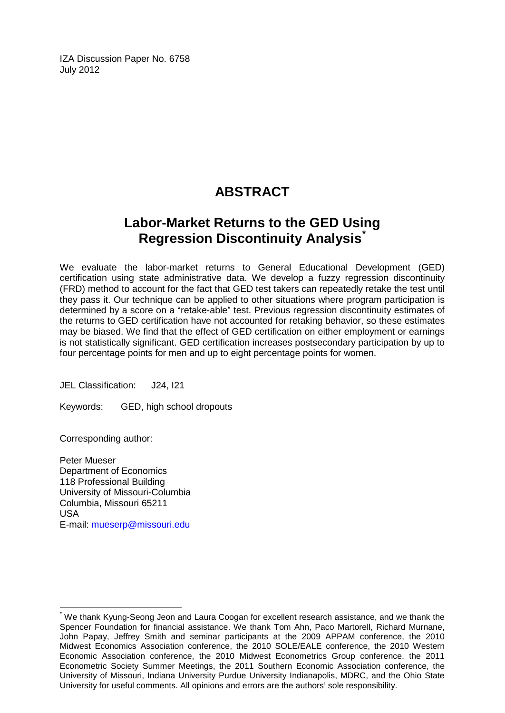IZA Discussion Paper No. 6758 July 2012

# **ABSTRACT**

# **Labor-Market Returns to the GED Using Regression Discontinuity Analysis[\\*](#page-1-0)**

We evaluate the labor-market returns to General Educational Development (GED) certification using state administrative data. We develop a fuzzy regression discontinuity (FRD) method to account for the fact that GED test takers can repeatedly retake the test until they pass it. Our technique can be applied to other situations where program participation is determined by a score on a "retake-able" test. Previous regression discontinuity estimates of the returns to GED certification have not accounted for retaking behavior, so these estimates may be biased. We find that the effect of GED certification on either employment or earnings is not statistically significant. GED certification increases postsecondary participation by up to four percentage points for men and up to eight percentage points for women.

JEL Classification: J24, I21

Keywords: GED, high school dropouts

Corresponding author:

Peter Mueser Department of Economics 118 Professional Building University of Missouri-Columbia Columbia, Missouri 65211 USA E-mail: [mueserp@missouri.edu](mailto:mueserp@missouri.edu)

We thank Kyung-Seong Jeon and Laura Coogan for excellent research assistance, and we thank the Spencer Foundation for financial assistance. We thank Tom Ahn, Paco Martorell, Richard Murnane, John Papay, Jeffrey Smith and seminar participants at the 2009 APPAM conference, the 2010 Midwest Economics Association conference, the 2010 SOLE/EALE conference, the 2010 Western Economic Association conference, the 2010 Midwest Econometrics Group conference, the 2011 Econometric Society Summer Meetings, the 2011 Southern Economic Association conference, the University of Missouri, Indiana University Purdue University Indianapolis, MDRC, and the Ohio State University for useful comments. All opinions and errors are the authors' sole responsibility.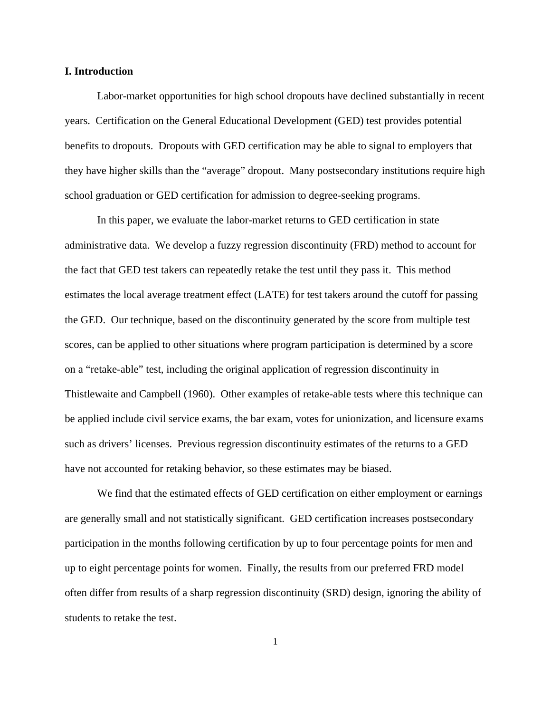#### **I. Introduction**

Labor-market opportunities for high school dropouts have declined substantially in recent years. Certification on the General Educational Development (GED) test provides potential benefits to dropouts. Dropouts with GED certification may be able to signal to employers that they have higher skills than the "average" dropout. Many postsecondary institutions require high school graduation or GED certification for admission to degree-seeking programs.

In this paper, we evaluate the labor-market returns to GED certification in state administrative data. We develop a fuzzy regression discontinuity (FRD) method to account for the fact that GED test takers can repeatedly retake the test until they pass it. This method estimates the local average treatment effect (LATE) for test takers around the cutoff for passing the GED. Our technique, based on the discontinuity generated by the score from multiple test scores, can be applied to other situations where program participation is determined by a score on a "retake-able" test, including the original application of regression discontinuity in Thistlewaite and Campbell (1960). Other examples of retake-able tests where this technique can be applied include civil service exams, the bar exam, votes for unionization, and licensure exams such as drivers' licenses. Previous regression discontinuity estimates of the returns to a GED have not accounted for retaking behavior, so these estimates may be biased.

We find that the estimated effects of GED certification on either employment or earnings are generally small and not statistically significant. GED certification increases postsecondary participation in the months following certification by up to four percentage points for men and up to eight percentage points for women. Finally, the results from our preferred FRD model often differ from results of a sharp regression discontinuity (SRD) design, ignoring the ability of students to retake the test.

1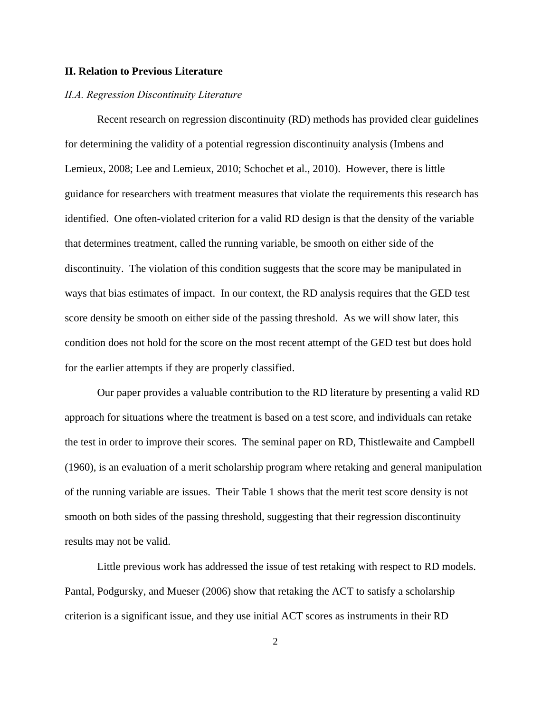#### **II. Relation to Previous Literature**

#### *II.A. Regression Discontinuity Literature*

Recent research on regression discontinuity (RD) methods has provided clear guidelines for determining the validity of a potential regression discontinuity analysis (Imbens and Lemieux, 2008; Lee and Lemieux, 2010; Schochet et al., 2010). However, there is little guidance for researchers with treatment measures that violate the requirements this research has identified. One often-violated criterion for a valid RD design is that the density of the variable that determines treatment, called the running variable, be smooth on either side of the discontinuity. The violation of this condition suggests that the score may be manipulated in ways that bias estimates of impact. In our context, the RD analysis requires that the GED test score density be smooth on either side of the passing threshold. As we will show later, this condition does not hold for the score on the most recent attempt of the GED test but does hold for the earlier attempts if they are properly classified.

Our paper provides a valuable contribution to the RD literature by presenting a valid RD approach for situations where the treatment is based on a test score, and individuals can retake the test in order to improve their scores. The seminal paper on RD, Thistlewaite and Campbell (1960), is an evaluation of a merit scholarship program where retaking and general manipulation of the running variable are issues. Their Table 1 shows that the merit test score density is not smooth on both sides of the passing threshold, suggesting that their regression discontinuity results may not be valid.

Little previous work has addressed the issue of test retaking with respect to RD models. Pantal, Podgursky, and Mueser (2006) show that retaking the ACT to satisfy a scholarship criterion is a significant issue, and they use initial ACT scores as instruments in their RD

2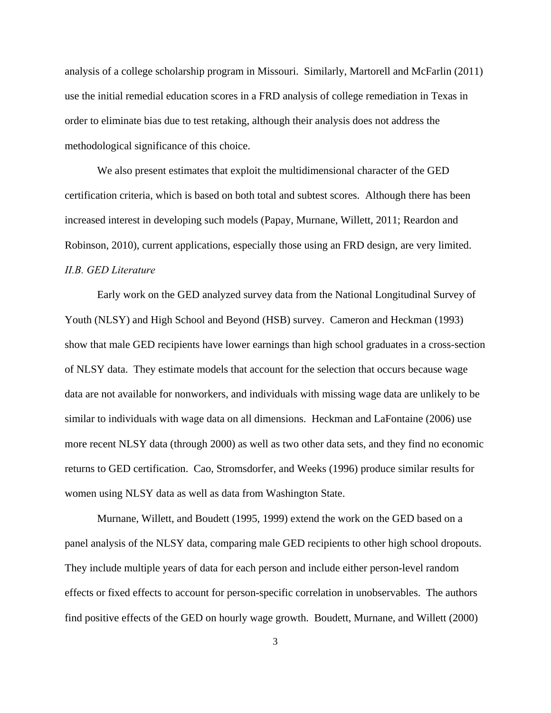analysis of a college scholarship program in Missouri. Similarly, Martorell and McFarlin (2011) use the initial remedial education scores in a FRD analysis of college remediation in Texas in order to eliminate bias due to test retaking, although their analysis does not address the methodological significance of this choice.

We also present estimates that exploit the multidimensional character of the GED certification criteria, which is based on both total and subtest scores. Although there has been increased interest in developing such models (Papay, Murnane, Willett, 2011; Reardon and Robinson, 2010), current applications, especially those using an FRD design, are very limited. *II.B. GED Literature* 

Early work on the GED analyzed survey data from the National Longitudinal Survey of Youth (NLSY) and High School and Beyond (HSB) survey. Cameron and Heckman (1993) show that male GED recipients have lower earnings than high school graduates in a cross-section of NLSY data. They estimate models that account for the selection that occurs because wage data are not available for nonworkers, and individuals with missing wage data are unlikely to be similar to individuals with wage data on all dimensions. Heckman and LaFontaine (2006) use more recent NLSY data (through 2000) as well as two other data sets, and they find no economic returns to GED certification. Cao, Stromsdorfer, and Weeks (1996) produce similar results for women using NLSY data as well as data from Washington State.

Murnane, Willett, and Boudett (1995, 1999) extend the work on the GED based on a panel analysis of the NLSY data, comparing male GED recipients to other high school dropouts. They include multiple years of data for each person and include either person-level random effects or fixed effects to account for person-specific correlation in unobservables. The authors find positive effects of the GED on hourly wage growth. Boudett, Murnane, and Willett (2000)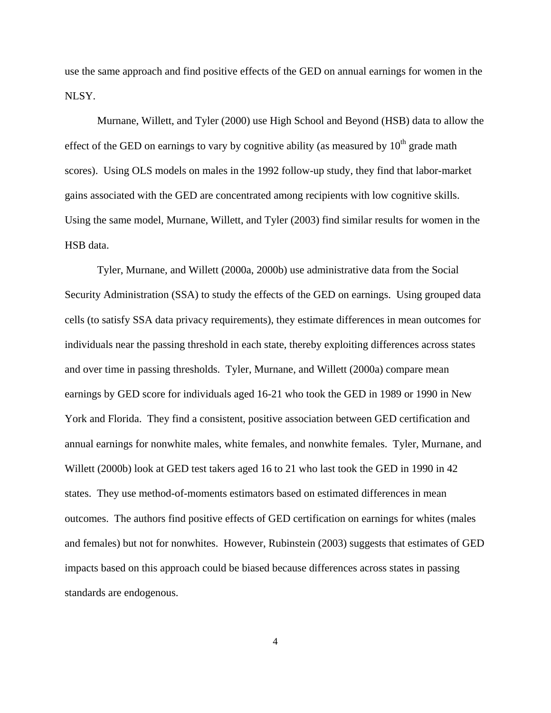use the same approach and find positive effects of the GED on annual earnings for women in the NLSY.

Murnane, Willett, and Tyler (2000) use High School and Beyond (HSB) data to allow the effect of the GED on earnings to vary by cognitive ability (as measured by  $10<sup>th</sup>$  grade math scores). Using OLS models on males in the 1992 follow-up study, they find that labor-market gains associated with the GED are concentrated among recipients with low cognitive skills. Using the same model, Murnane, Willett, and Tyler (2003) find similar results for women in the HSB data.

Tyler, Murnane, and Willett (2000a, 2000b) use administrative data from the Social Security Administration (SSA) to study the effects of the GED on earnings. Using grouped data cells (to satisfy SSA data privacy requirements), they estimate differences in mean outcomes for individuals near the passing threshold in each state, thereby exploiting differences across states and over time in passing thresholds. Tyler, Murnane, and Willett (2000a) compare mean earnings by GED score for individuals aged 16-21 who took the GED in 1989 or 1990 in New York and Florida. They find a consistent, positive association between GED certification and annual earnings for nonwhite males, white females, and nonwhite females. Tyler, Murnane, and Willett (2000b) look at GED test takers aged 16 to 21 who last took the GED in 1990 in 42 states. They use method-of-moments estimators based on estimated differences in mean outcomes. The authors find positive effects of GED certification on earnings for whites (males and females) but not for nonwhites. However, Rubinstein (2003) suggests that estimates of GED impacts based on this approach could be biased because differences across states in passing standards are endogenous.

4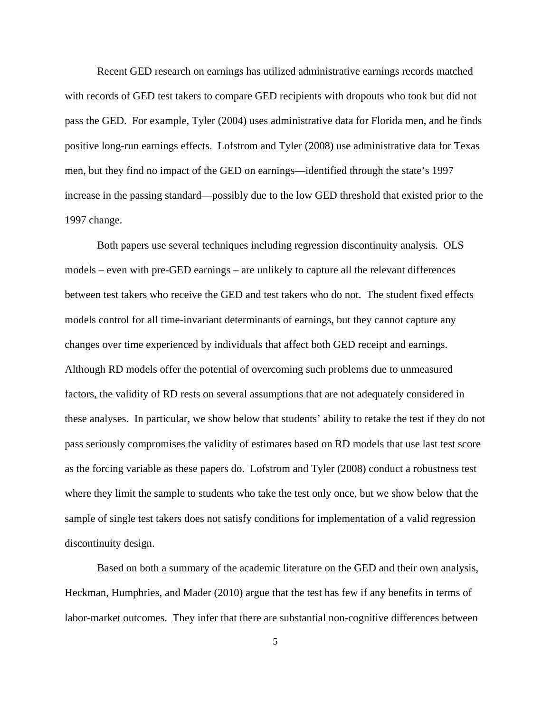Recent GED research on earnings has utilized administrative earnings records matched with records of GED test takers to compare GED recipients with dropouts who took but did not pass the GED. For example, Tyler (2004) uses administrative data for Florida men, and he finds positive long-run earnings effects. Lofstrom and Tyler (2008) use administrative data for Texas men, but they find no impact of the GED on earnings—identified through the state's 1997 increase in the passing standard—possibly due to the low GED threshold that existed prior to the 1997 change.

Both papers use several techniques including regression discontinuity analysis. OLS models – even with pre-GED earnings – are unlikely to capture all the relevant differences between test takers who receive the GED and test takers who do not. The student fixed effects models control for all time-invariant determinants of earnings, but they cannot capture any changes over time experienced by individuals that affect both GED receipt and earnings. Although RD models offer the potential of overcoming such problems due to unmeasured factors, the validity of RD rests on several assumptions that are not adequately considered in these analyses. In particular, we show below that students' ability to retake the test if they do not pass seriously compromises the validity of estimates based on RD models that use last test score as the forcing variable as these papers do. Lofstrom and Tyler (2008) conduct a robustness test where they limit the sample to students who take the test only once, but we show below that the sample of single test takers does not satisfy conditions for implementation of a valid regression discontinuity design.

Based on both a summary of the academic literature on the GED and their own analysis, Heckman, Humphries, and Mader (2010) argue that the test has few if any benefits in terms of labor-market outcomes. They infer that there are substantial non-cognitive differences between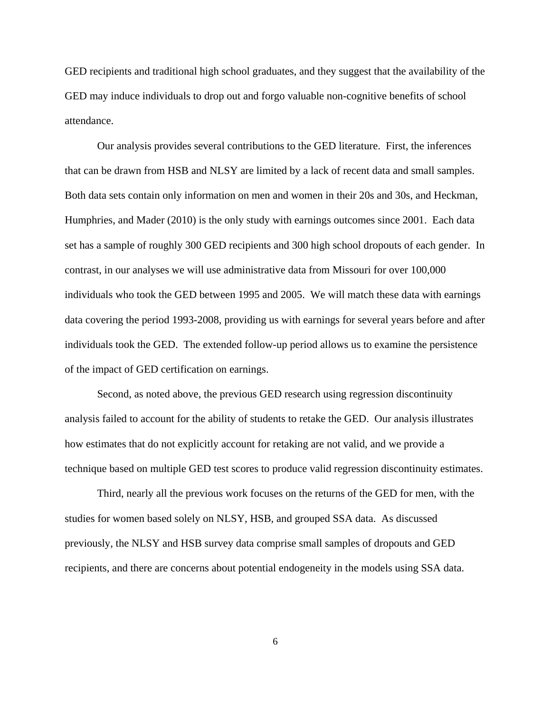GED recipients and traditional high school graduates, and they suggest that the availability of the GED may induce individuals to drop out and forgo valuable non-cognitive benefits of school attendance.

Our analysis provides several contributions to the GED literature. First, the inferences that can be drawn from HSB and NLSY are limited by a lack of recent data and small samples. Both data sets contain only information on men and women in their 20s and 30s, and Heckman, Humphries, and Mader (2010) is the only study with earnings outcomes since 2001. Each data set has a sample of roughly 300 GED recipients and 300 high school dropouts of each gender. In contrast, in our analyses we will use administrative data from Missouri for over 100,000 individuals who took the GED between 1995 and 2005. We will match these data with earnings data covering the period 1993-2008, providing us with earnings for several years before and after individuals took the GED. The extended follow-up period allows us to examine the persistence of the impact of GED certification on earnings.

Second, as noted above, the previous GED research using regression discontinuity analysis failed to account for the ability of students to retake the GED. Our analysis illustrates how estimates that do not explicitly account for retaking are not valid, and we provide a technique based on multiple GED test scores to produce valid regression discontinuity estimates.

Third, nearly all the previous work focuses on the returns of the GED for men, with the studies for women based solely on NLSY, HSB, and grouped SSA data. As discussed previously, the NLSY and HSB survey data comprise small samples of dropouts and GED recipients, and there are concerns about potential endogeneity in the models using SSA data.

6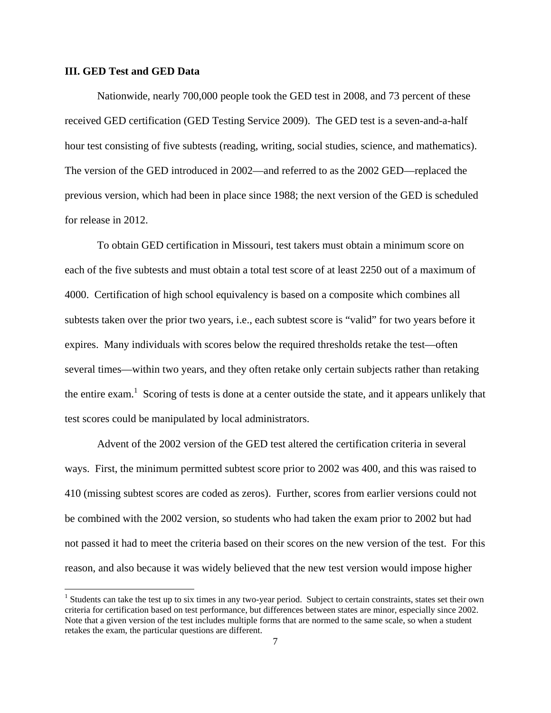#### **III. GED Test and GED Data**

Nationwide, nearly 700,000 people took the GED test in 2008, and 73 percent of these received GED certification (GED Testing Service 2009). The GED test is a seven-and-a-half hour test consisting of five subtests (reading, writing, social studies, science, and mathematics). The version of the GED introduced in 2002—and referred to as the 2002 GED—replaced the previous version, which had been in place since 1988; the next version of the GED is scheduled for release in 2012.

To obtain GED certification in Missouri, test takers must obtain a minimum score on each of the five subtests and must obtain a total test score of at least 2250 out of a maximum of 4000. Certification of high school equivalency is based on a composite which combines all subtests taken over the prior two years, i.e., each subtest score is "valid" for two years before it expires. Many individuals with scores below the required thresholds retake the test—often several times—within two years, and they often retake only certain subjects rather than retaking the entire exam.<sup>1</sup> Scoring of tests is done at a center outside the state, and it appears unlikely that test scores could be manipulated by local administrators.

Advent of the 2002 version of the GED test altered the certification criteria in several ways. First, the minimum permitted subtest score prior to 2002 was 400, and this was raised to 410 (missing subtest scores are coded as zeros). Further, scores from earlier versions could not be combined with the 2002 version, so students who had taken the exam prior to 2002 but had not passed it had to meet the criteria based on their scores on the new version of the test. For this reason, and also because it was widely believed that the new test version would impose higher

 $1$  Students can take the test up to six times in any two-year period. Subject to certain constraints, states set their own criteria for certification based on test performance, but differences between states are minor, especially since 2002. Note that a given version of the test includes multiple forms that are normed to the same scale, so when a student retakes the exam, the particular questions are different.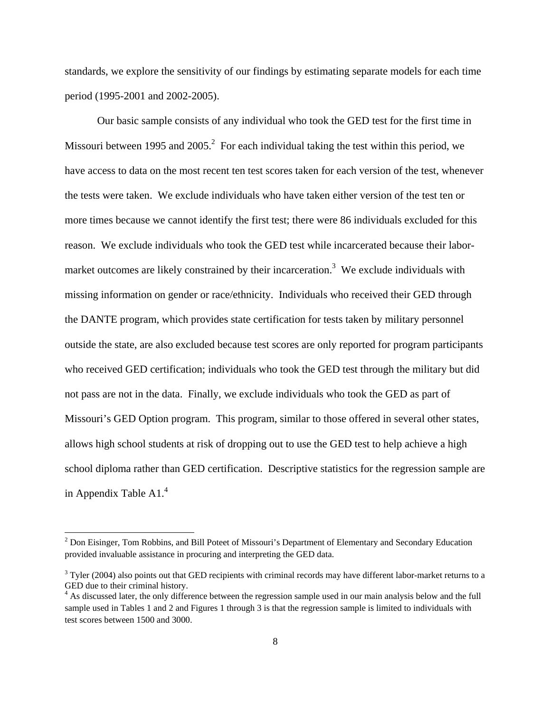standards, we explore the sensitivity of our findings by estimating separate models for each time period (1995-2001 and 2002-2005).

Our basic sample consists of any individual who took the GED test for the first time in Missouri between 1995 and 2005.<sup>2</sup> For each individual taking the test within this period, we have access to data on the most recent ten test scores taken for each version of the test, whenever the tests were taken. We exclude individuals who have taken either version of the test ten or more times because we cannot identify the first test; there were 86 individuals excluded for this reason. We exclude individuals who took the GED test while incarcerated because their labormarket outcomes are likely constrained by their incarceration.<sup>3</sup> We exclude individuals with missing information on gender or race/ethnicity. Individuals who received their GED through the DANTE program, which provides state certification for tests taken by military personnel outside the state, are also excluded because test scores are only reported for program participants who received GED certification; individuals who took the GED test through the military but did not pass are not in the data. Finally, we exclude individuals who took the GED as part of Missouri's GED Option program. This program, similar to those offered in several other states, allows high school students at risk of dropping out to use the GED test to help achieve a high school diploma rather than GED certification. Descriptive statistics for the regression sample are in Appendix Table A1.<sup>4</sup>

<sup>&</sup>lt;sup>2</sup> Don Eisinger, Tom Robbins, and Bill Poteet of Missouri's Department of Elementary and Secondary Education provided invaluable assistance in procuring and interpreting the GED data.

 $3$  Tyler (2004) also points out that GED recipients with criminal records may have different labor-market returns to a GED due to their criminal history.

<sup>&</sup>lt;sup>4</sup> As discussed later, the only difference between the regression sample used in our main analysis below and the full sample used in Tables 1 and 2 and Figures 1 through 3 is that the regression sample is limited to individuals with test scores between 1500 and 3000.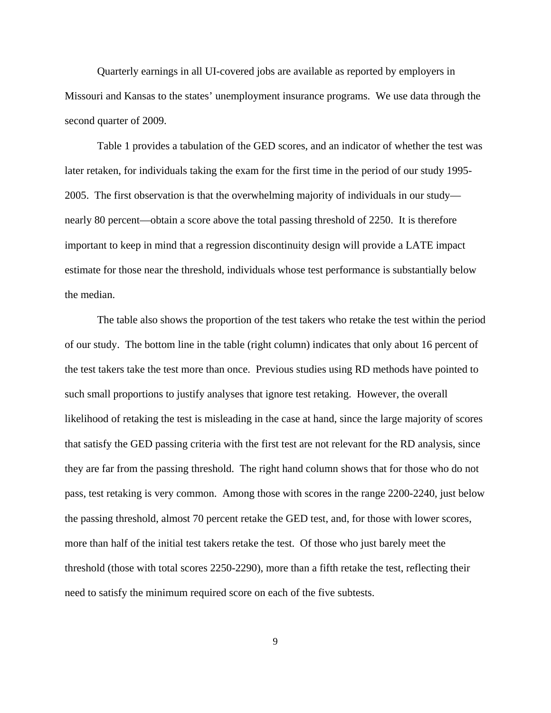Quarterly earnings in all UI-covered jobs are available as reported by employers in Missouri and Kansas to the states' unemployment insurance programs. We use data through the second quarter of 2009.

Table 1 provides a tabulation of the GED scores, and an indicator of whether the test was later retaken, for individuals taking the exam for the first time in the period of our study 1995- 2005. The first observation is that the overwhelming majority of individuals in our study nearly 80 percent—obtain a score above the total passing threshold of 2250. It is therefore important to keep in mind that a regression discontinuity design will provide a LATE impact estimate for those near the threshold, individuals whose test performance is substantially below the median.

The table also shows the proportion of the test takers who retake the test within the period of our study. The bottom line in the table (right column) indicates that only about 16 percent of the test takers take the test more than once. Previous studies using RD methods have pointed to such small proportions to justify analyses that ignore test retaking. However, the overall likelihood of retaking the test is misleading in the case at hand, since the large majority of scores that satisfy the GED passing criteria with the first test are not relevant for the RD analysis, since they are far from the passing threshold. The right hand column shows that for those who do not pass, test retaking is very common. Among those with scores in the range 2200-2240, just below the passing threshold, almost 70 percent retake the GED test, and, for those with lower scores, more than half of the initial test takers retake the test. Of those who just barely meet the threshold (those with total scores 2250-2290), more than a fifth retake the test, reflecting their need to satisfy the minimum required score on each of the five subtests.

9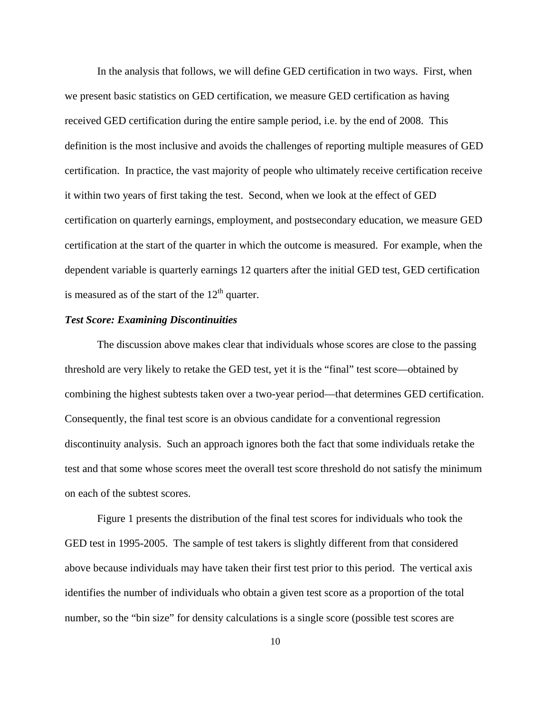In the analysis that follows, we will define GED certification in two ways. First, when we present basic statistics on GED certification, we measure GED certification as having received GED certification during the entire sample period, i.e. by the end of 2008. This definition is the most inclusive and avoids the challenges of reporting multiple measures of GED certification. In practice, the vast majority of people who ultimately receive certification receive it within two years of first taking the test. Second, when we look at the effect of GED certification on quarterly earnings, employment, and postsecondary education, we measure GED certification at the start of the quarter in which the outcome is measured. For example, when the dependent variable is quarterly earnings 12 quarters after the initial GED test, GED certification is measured as of the start of the  $12<sup>th</sup>$  quarter.

#### *Test Score: Examining Discontinuities*

The discussion above makes clear that individuals whose scores are close to the passing threshold are very likely to retake the GED test, yet it is the "final" test score—obtained by combining the highest subtests taken over a two-year period—that determines GED certification. Consequently, the final test score is an obvious candidate for a conventional regression discontinuity analysis. Such an approach ignores both the fact that some individuals retake the test and that some whose scores meet the overall test score threshold do not satisfy the minimum on each of the subtest scores.

Figure 1 presents the distribution of the final test scores for individuals who took the GED test in 1995-2005. The sample of test takers is slightly different from that considered above because individuals may have taken their first test prior to this period. The vertical axis identifies the number of individuals who obtain a given test score as a proportion of the total number, so the "bin size" for density calculations is a single score (possible test scores are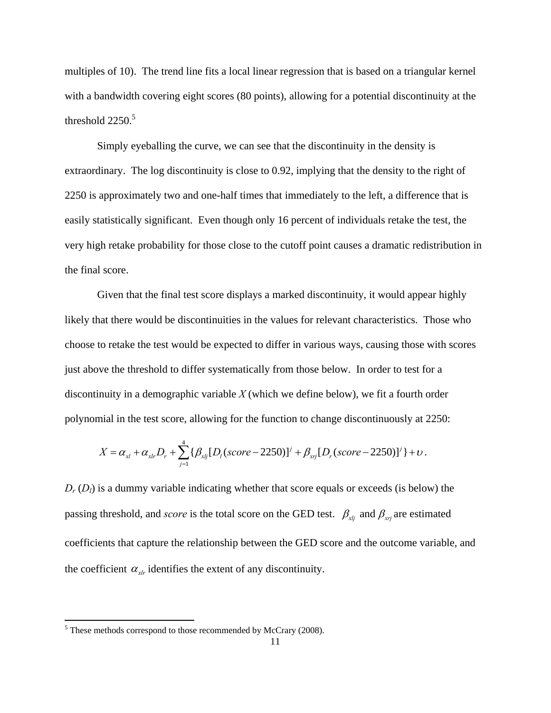multiples of 10). The trend line fits a local linear regression that is based on a triangular kernel with a bandwidth covering eight scores (80 points), allowing for a potential discontinuity at the threshold  $2250$ .<sup>5</sup>

Simply eyeballing the curve, we can see that the discontinuity in the density is extraordinary. The log discontinuity is close to 0.92, implying that the density to the right of 2250 is approximately two and one-half times that immediately to the left, a difference that is easily statistically significant. Even though only 16 percent of individuals retake the test, the very high retake probability for those close to the cutoff point causes a dramatic redistribution in the final score.

Given that the final test score displays a marked discontinuity, it would appear highly likely that there would be discontinuities in the values for relevant characteristics. Those who choose to retake the test would be expected to differ in various ways, causing those with scores just above the threshold to differ systematically from those below. In order to test for a discontinuity in a demographic variable *X* (which we define below), we fit a fourth order polynomial in the test score, allowing for the function to change discontinuously at 2250:

$$
X = \alpha_{xl} + \alpha_{xlr}D_r + \sum_{j=1}^{4} {\beta_{xlj}[D_l(score-2250)]^j + \beta_{xij}[D_r(score-2250)]^j} + v.
$$

 $D_r(D_l)$  is a dummy variable indicating whether that score equals or exceeds (is below) the passing threshold, and *score* is the total score on the GED test.  $\beta_{xij}$  and  $\beta_{xrj}$  are estimated coefficients that capture the relationship between the GED score and the outcome variable, and the coefficient  $\alpha_{\mu}$  identifies the extent of any discontinuity.

<sup>&</sup>lt;sup>5</sup> These methods correspond to those recommended by McCrary (2008).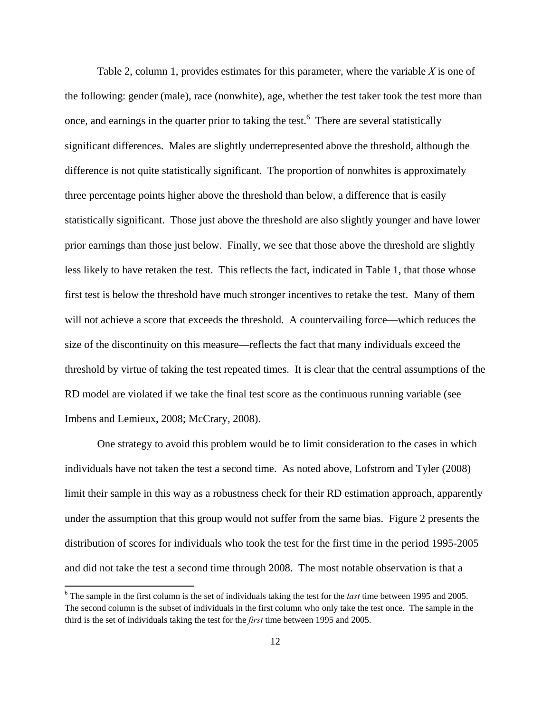Table 2, column 1, provides estimates for this parameter, where the variable *X* is one of the following: gender (male), race (nonwhite), age, whether the test taker took the test more than once, and earnings in the quarter prior to taking the test.  $6$  There are several statistically significant differences. Males are slightly underrepresented above the threshold, although the difference is not quite statistically significant. The proportion of nonwhites is approximately three percentage points higher above the threshold than below, a difference that is easily statistically significant. Those just above the threshold are also slightly younger and have lower prior earnings than those just below. Finally, we see that those above the threshold are slightly less likely to have retaken the test. This reflects the fact, indicated in Table 1, that those whose first test is below the threshold have much stronger incentives to retake the test. Many of them will not achieve a score that exceeds the threshold. A countervailing force—which reduces the size of the discontinuity on this measure—reflects the fact that many individuals exceed the threshold by virtue of taking the test repeated times. It is clear that the central assumptions of the RD model are violated if we take the final test score as the continuous running variable (see Imbens and Lemieux, 2008; McCrary, 2008).

One strategy to avoid this problem would be to limit consideration to the cases in which individuals have not taken the test a second time. As noted above, Lofstrom and Tyler (2008) limit their sample in this way as a robustness check for their RD estimation approach, apparently under the assumption that this group would not suffer from the same bias. Figure 2 presents the distribution of scores for individuals who took the test for the first time in the period 1995-2005 and did not take the test a second time through 2008. The most notable observation is that a

 6 The sample in the first column is the set of individuals taking the test for the *last* time between 1995 and 2005. The second column is the subset of individuals in the first column who only take the test once. The sample in the third is the set of individuals taking the test for the *first* time between 1995 and 2005.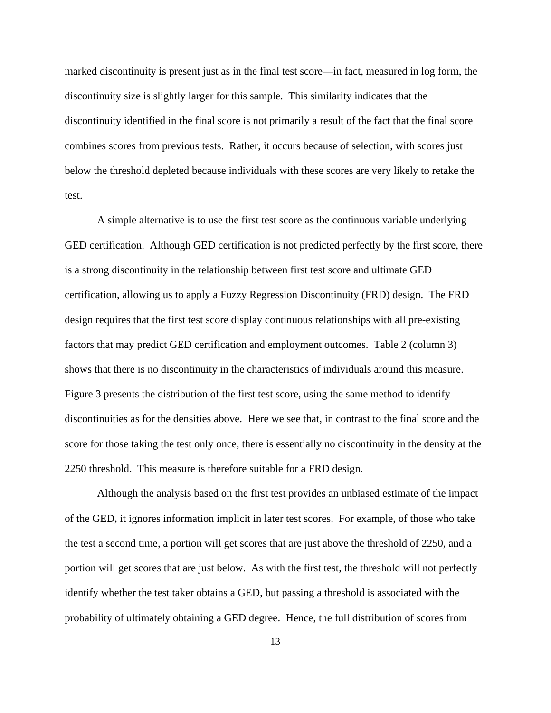marked discontinuity is present just as in the final test score—in fact, measured in log form, the discontinuity size is slightly larger for this sample. This similarity indicates that the discontinuity identified in the final score is not primarily a result of the fact that the final score combines scores from previous tests. Rather, it occurs because of selection, with scores just below the threshold depleted because individuals with these scores are very likely to retake the test.

A simple alternative is to use the first test score as the continuous variable underlying GED certification. Although GED certification is not predicted perfectly by the first score, there is a strong discontinuity in the relationship between first test score and ultimate GED certification, allowing us to apply a Fuzzy Regression Discontinuity (FRD) design. The FRD design requires that the first test score display continuous relationships with all pre-existing factors that may predict GED certification and employment outcomes. Table 2 (column 3) shows that there is no discontinuity in the characteristics of individuals around this measure. Figure 3 presents the distribution of the first test score, using the same method to identify discontinuities as for the densities above. Here we see that, in contrast to the final score and the score for those taking the test only once, there is essentially no discontinuity in the density at the 2250 threshold. This measure is therefore suitable for a FRD design.

Although the analysis based on the first test provides an unbiased estimate of the impact of the GED, it ignores information implicit in later test scores. For example, of those who take the test a second time, a portion will get scores that are just above the threshold of 2250, and a portion will get scores that are just below. As with the first test, the threshold will not perfectly identify whether the test taker obtains a GED, but passing a threshold is associated with the probability of ultimately obtaining a GED degree. Hence, the full distribution of scores from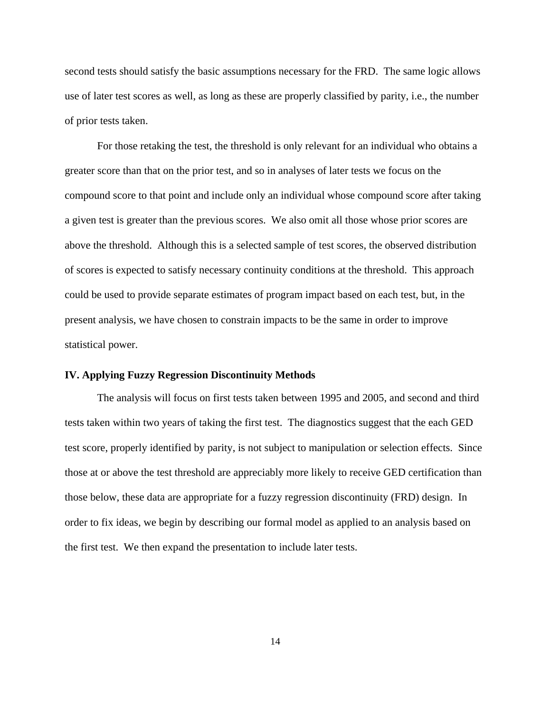second tests should satisfy the basic assumptions necessary for the FRD. The same logic allows use of later test scores as well, as long as these are properly classified by parity, i.e., the number of prior tests taken.

For those retaking the test, the threshold is only relevant for an individual who obtains a greater score than that on the prior test, and so in analyses of later tests we focus on the compound score to that point and include only an individual whose compound score after taking a given test is greater than the previous scores. We also omit all those whose prior scores are above the threshold. Although this is a selected sample of test scores, the observed distribution of scores is expected to satisfy necessary continuity conditions at the threshold. This approach could be used to provide separate estimates of program impact based on each test, but, in the present analysis, we have chosen to constrain impacts to be the same in order to improve statistical power.

#### **IV. Applying Fuzzy Regression Discontinuity Methods**

The analysis will focus on first tests taken between 1995 and 2005, and second and third tests taken within two years of taking the first test. The diagnostics suggest that the each GED test score, properly identified by parity, is not subject to manipulation or selection effects. Since those at or above the test threshold are appreciably more likely to receive GED certification than those below, these data are appropriate for a fuzzy regression discontinuity (FRD) design. In order to fix ideas, we begin by describing our formal model as applied to an analysis based on the first test. We then expand the presentation to include later tests.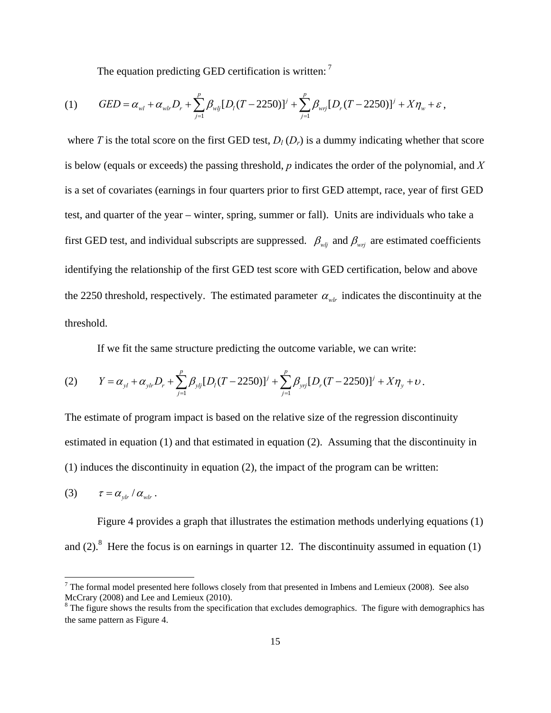The equation predicting GED certification is written:  $7$ 

(1) 
$$
GED = \alpha_{wI} + \alpha_{wIr} D_r + \sum_{j=1}^{p} \beta_{wlj} [D_l (T - 2250)]^j + \sum_{j=1}^{p} \beta_{wri} [D_r (T - 2250)]^j + X \eta_w + \varepsilon,
$$

where *T* is the total score on the first GED test,  $D_l(D_r)$  is a dummy indicating whether that score is below (equals or exceeds) the passing threshold, *p* indicates the order of the polynomial, and *X*  is a set of covariates (earnings in four quarters prior to first GED attempt, race, year of first GED test, and quarter of the year – winter, spring, summer or fall). Units are individuals who take a first GED test, and individual subscripts are suppressed.  $\beta_{wij}$  and  $\beta_{wij}$  are estimated coefficients identifying the relationship of the first GED test score with GED certification, below and above the 2250 threshold, respectively. The estimated parameter  $\alpha_{wlr}$  indicates the discontinuity at the threshold.

If we fit the same structure predicting the outcome variable, we can write:

(2) 
$$
Y = \alpha_{yl} + \alpha_{yl} D_r + \sum_{j=1}^p \beta_{ylj} [D_l (T - 2250)]^j + \sum_{j=1}^p \beta_{yrj} [D_r (T - 2250)]^j + X \eta_y + v.
$$

The estimate of program impact is based on the relative size of the regression discontinuity estimated in equation (1) and that estimated in equation (2). Assuming that the discontinuity in (1) induces the discontinuity in equation (2), the impact of the program can be written:

$$
(3) \qquad \tau = \alpha_{\text{ylr}} / \alpha_{\text{wlr}}.
$$

Figure 4 provides a graph that illustrates the estimation methods underlying equations (1) and  $(2)$ .<sup>8</sup> Here the focus is on earnings in quarter 12. The discontinuity assumed in equation (1)

 $7$  The formal model presented here follows closely from that presented in Imbens and Lemieux (2008). See also McCrary (2008) and Lee and Lemieux (2010).

 $8$  The figure shows the results from the specification that excludes demographics. The figure with demographics has the same pattern as Figure 4.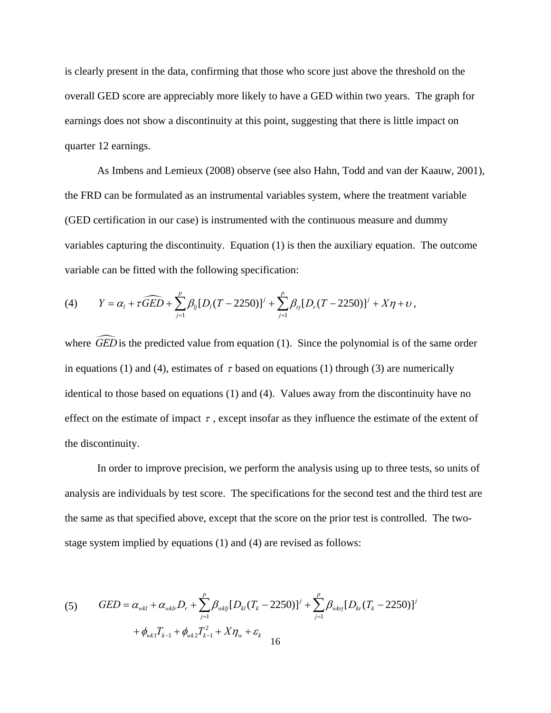is clearly present in the data, confirming that those who score just above the threshold on the overall GED score are appreciably more likely to have a GED within two years. The graph for earnings does not show a discontinuity at this point, suggesting that there is little impact on quarter 12 earnings.

As Imbens and Lemieux (2008) observe (see also Hahn, Todd and van der Kaauw, 2001), the FRD can be formulated as an instrumental variables system, where the treatment variable (GED certification in our case) is instrumented with the continuous measure and dummy variables capturing the discontinuity. Equation (1) is then the auxiliary equation. The outcome variable can be fitted with the following specification:

(4) 
$$
Y = \alpha_{l} + \tau \widehat{GED} + \sum_{j=1}^{p} \beta_{ij} [D_{l} (T - 2250)]^{j} + \sum_{j=1}^{p} \beta_{ij} [D_{r} (T - 2250)]^{j} + X\eta + \upsilon,
$$

where *GED* is the predicted value from equation (1). Since the polynomial is of the same order in equations (1) and (4), estimates of  $\tau$  based on equations (1) through (3) are numerically identical to those based on equations (1) and (4). Values away from the discontinuity have no effect on the estimate of impact  $\tau$ , except insofar as they influence the estimate of the extent of the discontinuity.

In order to improve precision, we perform the analysis using up to three tests, so units of analysis are individuals by test score. The specifications for the second test and the third test are the same as that specified above, except that the score on the prior test is controlled. The twostage system implied by equations (1) and (4) are revised as follows:

(5) 
$$
GED = \alpha_{wkl} + \alpha_{wklr}D_r + \sum_{j=1}^p \beta_{wklj} [D_{kl}(T_k - 2250)]^j + \sum_{j=1}^p \beta_{wkrj} [D_{kr}(T_k - 2250)]^j
$$

$$
+ \phi_{wkl} T_{k-1} + \phi_{wkl} T_{k-1}^2 + X\eta_w + \varepsilon_k
$$
16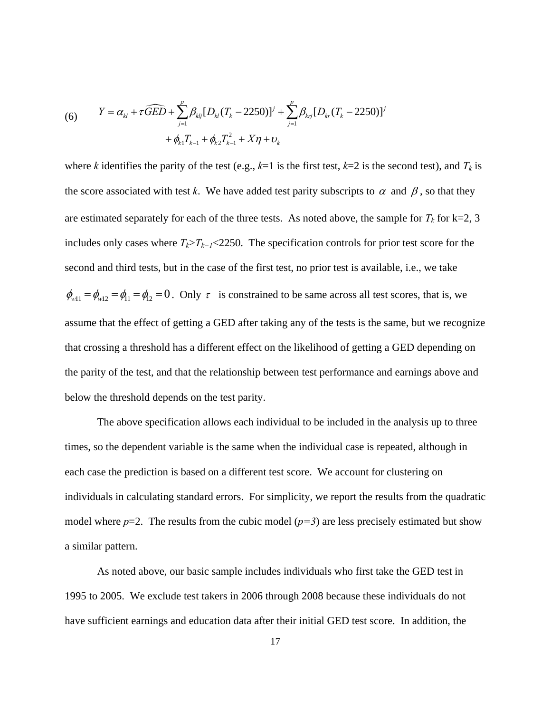(6) 
$$
Y = \alpha_{kl} + \tau \widehat{GED} + \sum_{j=1}^{p} \beta_{klj} [D_{kl} (T_k - 2250)]^{j} + \sum_{j=1}^{p} \beta_{krj} [D_{kr} (T_k - 2250)]^{j} + \phi_{k1} T_{k-1} + \phi_{k2} T_{k-1}^{2} + X\eta + \nu_k
$$

where *k* identifies the parity of the test (e.g.,  $k=1$  is the first test,  $k=2$  is the second test), and  $T_k$  is the score associated with test *k*. We have added test parity subscripts to  $\alpha$  and  $\beta$ , so that they are estimated separately for each of the three tests. As noted above, the sample for  $T_k$  for k=2, 3 includes only cases where  $T_k > T_{k-1}$  <2250. The specification controls for prior test score for the second and third tests, but in the case of the first test, no prior test is available, i.e., we take  $\phi_{w11} = \phi_{w12} = \phi_{11} = \phi_{12} = 0$ . Only  $\tau$  is constrained to be same across all test scores, that is, we assume that the effect of getting a GED after taking any of the tests is the same, but we recognize that crossing a threshold has a different effect on the likelihood of getting a GED depending on the parity of the test, and that the relationship between test performance and earnings above and below the threshold depends on the test parity.

 The above specification allows each individual to be included in the analysis up to three times, so the dependent variable is the same when the individual case is repeated, although in each case the prediction is based on a different test score. We account for clustering on individuals in calculating standard errors. For simplicity, we report the results from the quadratic model where  $p=2$ . The results from the cubic model  $(p=3)$  are less precisely estimated but show a similar pattern.

As noted above, our basic sample includes individuals who first take the GED test in 1995 to 2005. We exclude test takers in 2006 through 2008 because these individuals do not have sufficient earnings and education data after their initial GED test score. In addition, the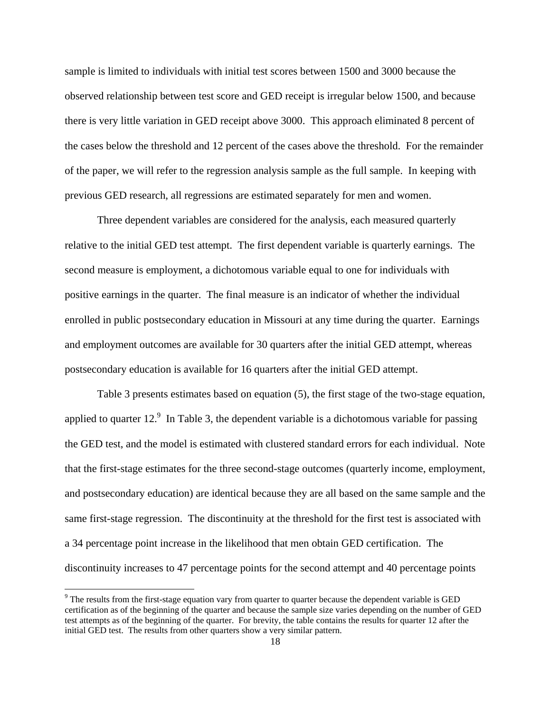sample is limited to individuals with initial test scores between 1500 and 3000 because the observed relationship between test score and GED receipt is irregular below 1500, and because there is very little variation in GED receipt above 3000. This approach eliminated 8 percent of the cases below the threshold and 12 percent of the cases above the threshold. For the remainder of the paper, we will refer to the regression analysis sample as the full sample. In keeping with previous GED research, all regressions are estimated separately for men and women.

Three dependent variables are considered for the analysis, each measured quarterly relative to the initial GED test attempt. The first dependent variable is quarterly earnings. The second measure is employment, a dichotomous variable equal to one for individuals with positive earnings in the quarter. The final measure is an indicator of whether the individual enrolled in public postsecondary education in Missouri at any time during the quarter. Earnings and employment outcomes are available for 30 quarters after the initial GED attempt, whereas postsecondary education is available for 16 quarters after the initial GED attempt.

Table 3 presents estimates based on equation (5), the first stage of the two-stage equation, applied to quarter 12. In Table 3, the dependent variable is a dichotomous variable for passing the GED test, and the model is estimated with clustered standard errors for each individual. Note that the first-stage estimates for the three second-stage outcomes (quarterly income, employment, and postsecondary education) are identical because they are all based on the same sample and the same first-stage regression. The discontinuity at the threshold for the first test is associated with a 34 percentage point increase in the likelihood that men obtain GED certification. The discontinuity increases to 47 percentage points for the second attempt and 40 percentage points

<sup>&</sup>lt;sup>9</sup> The results from the first-stage equation vary from quarter to quarter because the dependent variable is GED certification as of the beginning of the quarter and because the sample size varies depending on the number of GED test attempts as of the beginning of the quarter. For brevity, the table contains the results for quarter 12 after the initial GED test. The results from other quarters show a very similar pattern.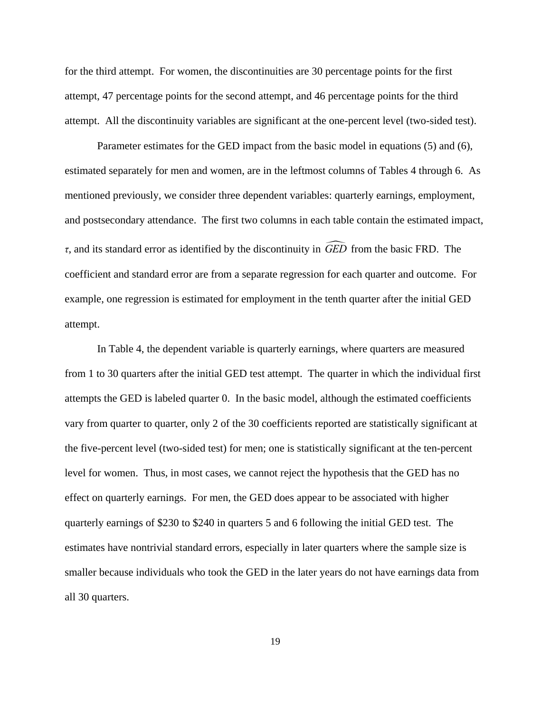for the third attempt. For women, the discontinuities are 30 percentage points for the first attempt, 47 percentage points for the second attempt, and 46 percentage points for the third attempt. All the discontinuity variables are significant at the one-percent level (two-sided test).

Parameter estimates for the GED impact from the basic model in equations (5) and (6), estimated separately for men and women, are in the leftmost columns of Tables 4 through 6. As mentioned previously, we consider three dependent variables: quarterly earnings, employment, and postsecondary attendance. The first two columns in each table contain the estimated impact, *<sup>τ</sup>*, and its standard error as identified by the discontinuity in *GED* from the basic FRD. The coefficient and standard error are from a separate regression for each quarter and outcome. For example, one regression is estimated for employment in the tenth quarter after the initial GED attempt.

In Table 4, the dependent variable is quarterly earnings, where quarters are measured from 1 to 30 quarters after the initial GED test attempt. The quarter in which the individual first attempts the GED is labeled quarter 0. In the basic model, although the estimated coefficients vary from quarter to quarter, only 2 of the 30 coefficients reported are statistically significant at the five-percent level (two-sided test) for men; one is statistically significant at the ten-percent level for women. Thus, in most cases, we cannot reject the hypothesis that the GED has no effect on quarterly earnings. For men, the GED does appear to be associated with higher quarterly earnings of \$230 to \$240 in quarters 5 and 6 following the initial GED test. The estimates have nontrivial standard errors, especially in later quarters where the sample size is smaller because individuals who took the GED in the later years do not have earnings data from all 30 quarters.

19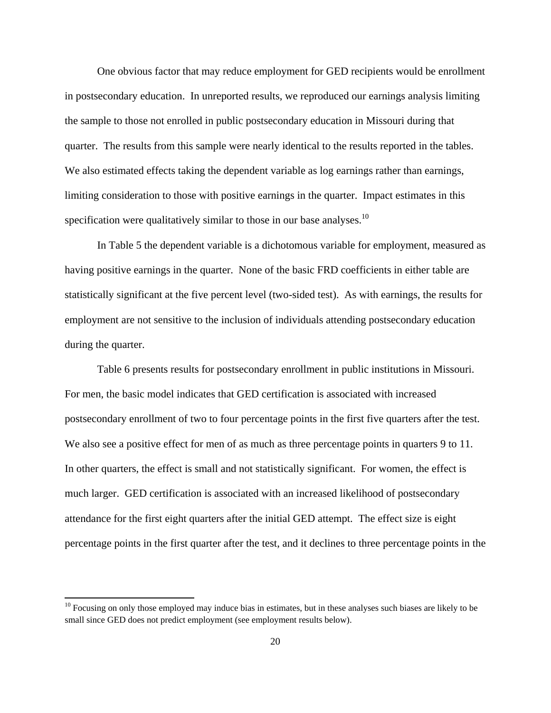One obvious factor that may reduce employment for GED recipients would be enrollment in postsecondary education. In unreported results, we reproduced our earnings analysis limiting the sample to those not enrolled in public postsecondary education in Missouri during that quarter. The results from this sample were nearly identical to the results reported in the tables. We also estimated effects taking the dependent variable as log earnings rather than earnings, limiting consideration to those with positive earnings in the quarter. Impact estimates in this specification were qualitatively similar to those in our base analyses.<sup>10</sup>

In Table 5 the dependent variable is a dichotomous variable for employment, measured as having positive earnings in the quarter. None of the basic FRD coefficients in either table are statistically significant at the five percent level (two-sided test). As with earnings, the results for employment are not sensitive to the inclusion of individuals attending postsecondary education during the quarter.

Table 6 presents results for postsecondary enrollment in public institutions in Missouri. For men, the basic model indicates that GED certification is associated with increased postsecondary enrollment of two to four percentage points in the first five quarters after the test. We also see a positive effect for men of as much as three percentage points in quarters 9 to 11. In other quarters, the effect is small and not statistically significant. For women, the effect is much larger. GED certification is associated with an increased likelihood of postsecondary attendance for the first eight quarters after the initial GED attempt. The effect size is eight percentage points in the first quarter after the test, and it declines to three percentage points in the

 $10$  Focusing on only those employed may induce bias in estimates, but in these analyses such biases are likely to be small since GED does not predict employment (see employment results below).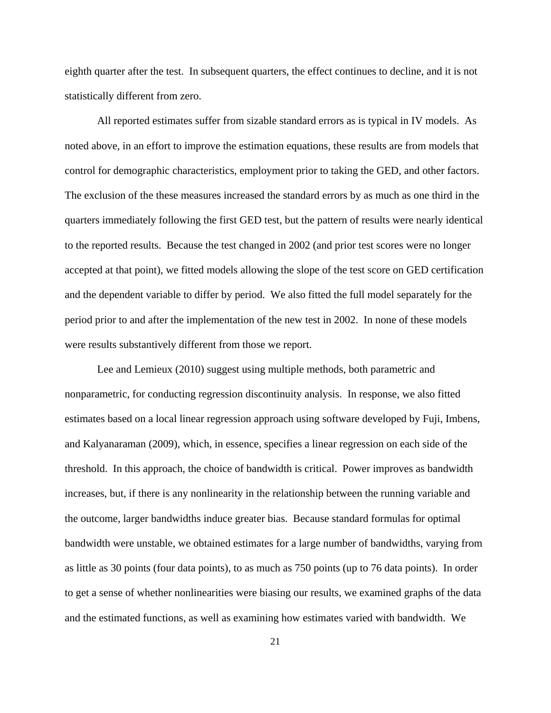eighth quarter after the test. In subsequent quarters, the effect continues to decline, and it is not statistically different from zero.

All reported estimates suffer from sizable standard errors as is typical in IV models. As noted above, in an effort to improve the estimation equations, these results are from models that control for demographic characteristics, employment prior to taking the GED, and other factors. The exclusion of the these measures increased the standard errors by as much as one third in the quarters immediately following the first GED test, but the pattern of results were nearly identical to the reported results. Because the test changed in 2002 (and prior test scores were no longer accepted at that point), we fitted models allowing the slope of the test score on GED certification and the dependent variable to differ by period. We also fitted the full model separately for the period prior to and after the implementation of the new test in 2002. In none of these models were results substantively different from those we report.

Lee and Lemieux (2010) suggest using multiple methods, both parametric and nonparametric, for conducting regression discontinuity analysis. In response, we also fitted estimates based on a local linear regression approach using software developed by Fuji, Imbens, and Kalyanaraman (2009), which, in essence, specifies a linear regression on each side of the threshold. In this approach, the choice of bandwidth is critical. Power improves as bandwidth increases, but, if there is any nonlinearity in the relationship between the running variable and the outcome, larger bandwidths induce greater bias. Because standard formulas for optimal bandwidth were unstable, we obtained estimates for a large number of bandwidths, varying from as little as 30 points (four data points), to as much as 750 points (up to 76 data points). In order to get a sense of whether nonlinearities were biasing our results, we examined graphs of the data and the estimated functions, as well as examining how estimates varied with bandwidth. We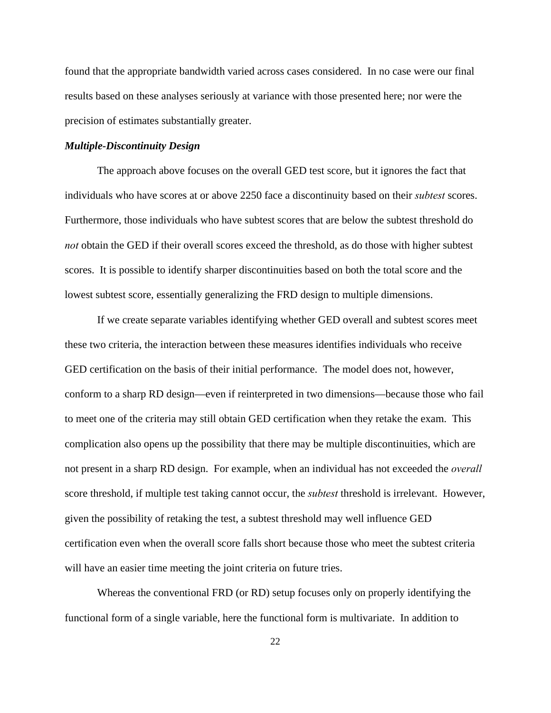found that the appropriate bandwidth varied across cases considered. In no case were our final results based on these analyses seriously at variance with those presented here; nor were the precision of estimates substantially greater.

#### *Multiple-Discontinuity Design*

The approach above focuses on the overall GED test score, but it ignores the fact that individuals who have scores at or above 2250 face a discontinuity based on their *subtest* scores. Furthermore, those individuals who have subtest scores that are below the subtest threshold do *not* obtain the GED if their overall scores exceed the threshold, as do those with higher subtest scores. It is possible to identify sharper discontinuities based on both the total score and the lowest subtest score, essentially generalizing the FRD design to multiple dimensions.

If we create separate variables identifying whether GED overall and subtest scores meet these two criteria, the interaction between these measures identifies individuals who receive GED certification on the basis of their initial performance. The model does not, however, conform to a sharp RD design—even if reinterpreted in two dimensions—because those who fail to meet one of the criteria may still obtain GED certification when they retake the exam. This complication also opens up the possibility that there may be multiple discontinuities, which are not present in a sharp RD design. For example, when an individual has not exceeded the *overall* score threshold, if multiple test taking cannot occur, the *subtest* threshold is irrelevant. However, given the possibility of retaking the test, a subtest threshold may well influence GED certification even when the overall score falls short because those who meet the subtest criteria will have an easier time meeting the joint criteria on future tries.

Whereas the conventional FRD (or RD) setup focuses only on properly identifying the functional form of a single variable, here the functional form is multivariate. In addition to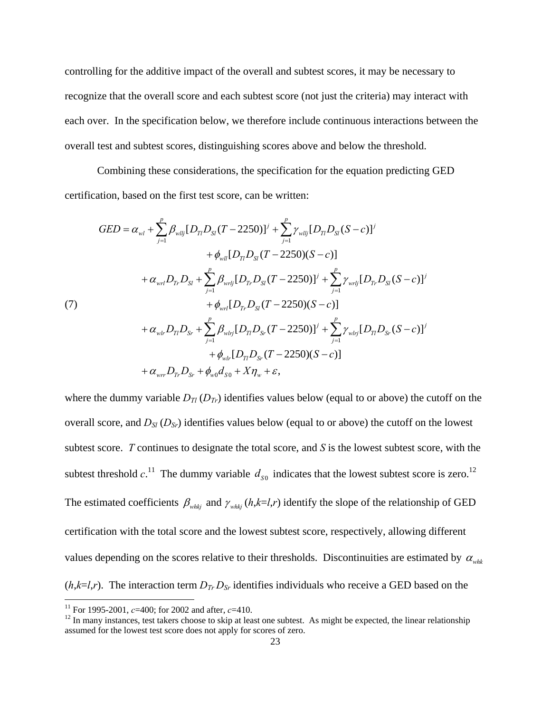controlling for the additive impact of the overall and subtest scores, it may be necessary to recognize that the overall score and each subtest score (not just the criteria) may interact with each over. In the specification below, we therefore include continuous interactions between the overall test and subtest scores, distinguishing scores above and below the threshold.

Combining these considerations, the specification for the equation predicting GED certification, based on the first test score, can be written:

$$
GED = \alpha_{wl} + \sum_{j=1}^{p} \beta_{willj} [D_{Tl} D_{SI} (T - 2250)]^{j} + \sum_{j=1}^{p} \gamma_{willj} [D_{Tl} D_{SI} (S - c)]^{j}
$$
  
+  $\phi_{will} [D_{Tl} D_{SI} (T - 2250)(S - c)]$   
+  $\alpha_{wrl} D_{Tr} D_{SI} + \sum_{j=1}^{p} \beta_{wrlj} [D_{Tr} D_{SI} (T - 2250)]^{j} + \sum_{j=1}^{p} \gamma_{wrlj} [D_{Tr} D_{SI} (S - c)]^{j}$   
+  $\phi_{wrl} [D_{Tr} D_{SI} (T - 2250)(S - c)]$   
+  $\alpha_{wl} D_{Tl} D_{Sr} + \sum_{j=1}^{p} \beta_{wlrj} [D_{Tl} D_{Sr} (T - 2250)]^{j} + \sum_{j=1}^{p} \gamma_{wlrj} [D_{Tl} D_{Sr} (S - c)]^{j}$   
+  $\phi_{wlr} [D_{Tl} D_{Sr} (T - 2250)(S - c)]$   
+  $\alpha_{wrr} D_{Tr} D_{Sr} + \phi_{w0} d_{S0} + X \eta_w + \varepsilon$ ,

where the dummy variable  $D_{Tl}$  ( $D_{Tr}$ ) identifies values below (equal to or above) the cutoff on the overall score, and  $D_{\text{S}l}$  ( $D_{\text{S}r}$ ) identifies values below (equal to or above) the cutoff on the lowest subtest score. *T* continues to designate the total score, and *S* is the lowest subtest score, with the subtest threshold  $c^{11}$ . The dummy variable  $d_{s0}$  indicates that the lowest subtest score is zero.<sup>12</sup> The estimated coefficients  $\beta_{whki}$  and  $\gamma_{whki}$  (*h*,*k*=*l*,*r*) identify the slope of the relationship of GED certification with the total score and the lowest subtest score, respectively, allowing different values depending on the scores relative to their thresholds. Discontinuities are estimated by  $\alpha_{whk}$  $(h, k=l, r)$ . The interaction term  $D_{Tr} D_{Sr}$  identifies individuals who receive a GED based on the

<sup>&</sup>lt;sup>11</sup> For 1995-2001,  $c=400$ ; for 2002 and after,  $c=410$ .

<sup>&</sup>lt;sup>12</sup> In many instances, test takers choose to skip at least one subtest. As might be expected, the linear relationship assumed for the lowest test score does not apply for scores of zero.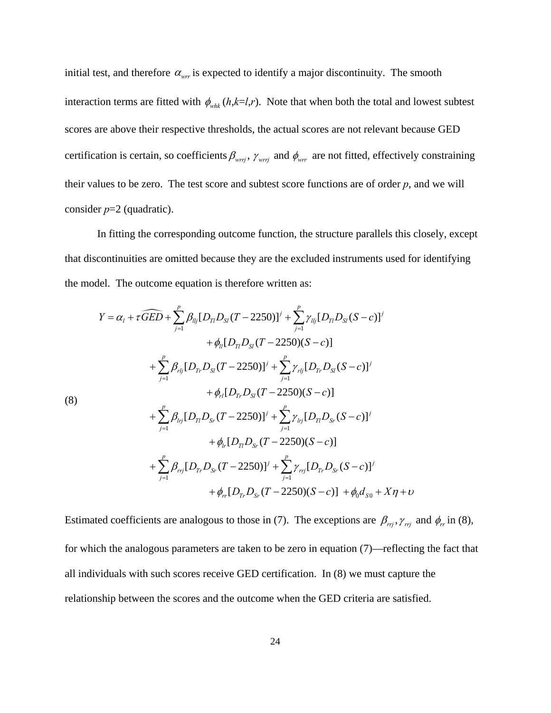initial test, and therefore  $\alpha_{\text{wrr}}$  is expected to identify a major discontinuity. The smooth interaction terms are fitted with  $\phi_{whk}(h,k=l,r)$ . Note that when both the total and lowest subtest scores are above their respective thresholds, the actual scores are not relevant because GED certification is certain, so coefficients  $\beta_{wrrj}$ ,  $\gamma_{wrrj}$  and  $\phi_{wrr}$  are not fitted, effectively constraining their values to be zero. The test score and subtest score functions are of order *p*, and we will consider *p*=2 (quadratic).

In fitting the corresponding outcome function, the structure parallels this closely, except that discontinuities are omitted because they are the excluded instruments used for identifying the model. The outcome equation is therefore written as:

$$
Y = \alpha_{l} + \tau \widehat{GED} + \sum_{j=1}^{p} \beta_{lij} [D_{TI}D_{SI}(T - 2250)]^{j} + \sum_{j=1}^{p} \gamma_{lij} [D_{TI}D_{SI}(S - c)]
$$
  
+  $\phi_{li} [D_{TI}D_{SI}(T - 2250)(S - c)]$   
+  $\sum_{j=1}^{p} \beta_{rij} [D_{Tr}D_{SI}(T - 2250)]^{j} + \sum_{j=1}^{p} \gamma_{rij} [D_{Tr}D_{SI}(S - c)]^{j}$   
+  $\phi_{ri} [D_{Tr}D_{SI}(T - 2250)(S - c)]$   
+  $\sum_{j=1}^{p} \beta_{lij} [D_{TI}D_{Sr}(T - 2250)]^{j} + \sum_{j=1}^{p} \gamma_{lij} [D_{TI}D_{Sr}(S - c)]^{j}$   
+  $\phi_{lr} [D_{TI}D_{Sr}(T - 2250)(S - c)]$   
+  $\sum_{j=1}^{p} \beta_{rij} [D_{Tr}D_{Sr}(T - 2250)]^{j} + \sum_{j=1}^{p} \gamma_{rij} [D_{Tr}D_{Sr}(S - c)]^{j}$   
+  $\phi_{rr} [D_{Tr}D_{Sr}(T - 2250)(S - c)] + \phi_{0} d_{SO} + X\eta + \nu$ 

Estimated coefficients are analogous to those in (7). The exceptions are  $\beta_{rrj}, \gamma_{rrj}$  and  $\phi_{rr}$  in (8), for which the analogous parameters are taken to be zero in equation (7)—reflecting the fact that all individuals with such scores receive GED certification. In (8) we must capture the relationship between the scores and the outcome when the GED criteria are satisfied.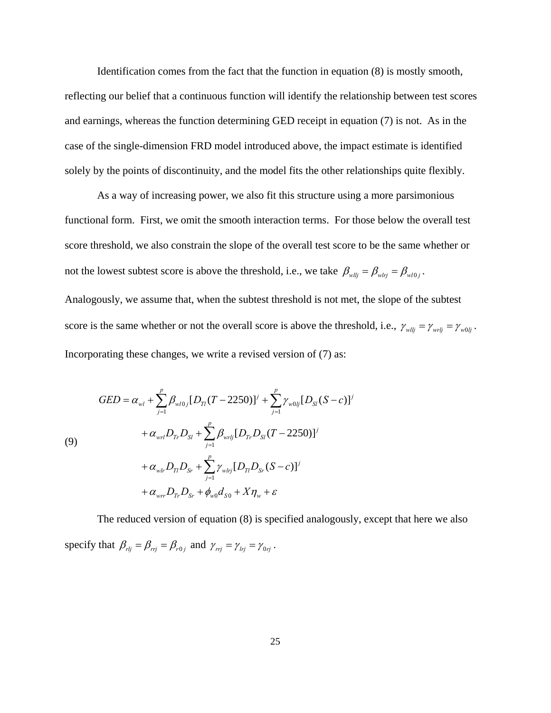Identification comes from the fact that the function in equation (8) is mostly smooth, reflecting our belief that a continuous function will identify the relationship between test scores and earnings, whereas the function determining GED receipt in equation (7) is not. As in the case of the single-dimension FRD model introduced above, the impact estimate is identified solely by the points of discontinuity, and the model fits the other relationships quite flexibly.

As a way of increasing power, we also fit this structure using a more parsimonious functional form. First, we omit the smooth interaction terms. For those below the overall test score threshold, we also constrain the slope of the overall test score to be the same whether or not the lowest subtest score is above the threshold, i.e., we take  $\beta_{wllj} = \beta_{wlvj} = \beta_{wloj}$ . Analogously, we assume that, when the subtest threshold is not met, the slope of the subtest score is the same whether or not the overall score is above the threshold, i.e.,  $\gamma_{wllj} = \gamma_{wrlj} = \gamma_{w0lj}$ . Incorporating these changes, we write a revised version of (7) as:

(9)  
\n
$$
GED = \alpha_{wl} + \sum_{j=1}^{p} \beta_{wl0j} [D_{Tl} (T - 2250)]^{j} + \sum_{j=1}^{p} \gamma_{w0lj} [D_{Sl} (S - c)]^{j}
$$
\n
$$
+ \alpha_{wrl} D_{Tr} D_{SI} + \sum_{j=1}^{p} \beta_{wrlj} [D_{Tr} D_{SI} (T - 2250)]^{j}
$$
\n
$$
+ \alpha_{wl} D_{Tl} D_{Sr} + \sum_{j=1}^{p} \gamma_{wlrj} [D_{Tl} D_{Sr} (S - c)]^{j}
$$
\n
$$
+ \alpha_{wrr} D_{Tr} D_{Sr} + \phi_{w0} d_{S0} + X \eta_{w} + \varepsilon
$$

The reduced version of equation (8) is specified analogously, except that here we also specify that  $\beta_{rlj} = \beta_{rrij} = \beta_{r0j}$  and  $\gamma_{rri} = \gamma_{lj} = \gamma_{0ri}$ .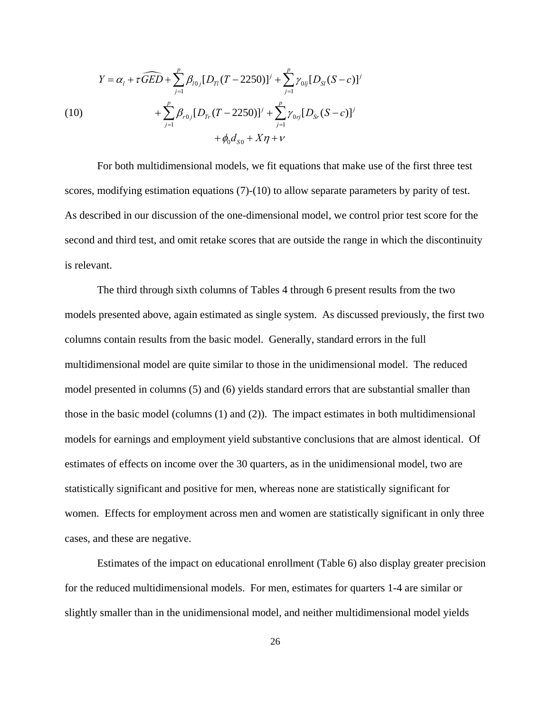(10)  
\n
$$
Y = \alpha_{l} + \tau \widehat{GED} + \sum_{j=1}^{p} \beta_{l0j} [D_{Tl} (T - 2250)]^{j} + \sum_{j=1}^{p} \gamma_{0lj} [D_{SI} (S - c)]^{j}
$$
\n
$$
+ \sum_{j=1}^{p} \beta_{r0j} [D_{Tr} (T - 2250)]^{j} + \sum_{j=1}^{p} \gamma_{0rj} [D_{Sr} (S - c)]^{j}
$$
\n
$$
+ \phi_{0} d_{S0} + X \eta + v
$$

For both multidimensional models, we fit equations that make use of the first three test scores, modifying estimation equations (7)-(10) to allow separate parameters by parity of test. As described in our discussion of the one-dimensional model, we control prior test score for the second and third test, and omit retake scores that are outside the range in which the discontinuity is relevant.

The third through sixth columns of Tables 4 through 6 present results from the two models presented above, again estimated as single system. As discussed previously, the first two columns contain results from the basic model. Generally, standard errors in the full multidimensional model are quite similar to those in the unidimensional model. The reduced model presented in columns (5) and (6) yields standard errors that are substantial smaller than those in the basic model (columns (1) and (2)). The impact estimates in both multidimensional models for earnings and employment yield substantive conclusions that are almost identical. Of estimates of effects on income over the 30 quarters, as in the unidimensional model, two are statistically significant and positive for men, whereas none are statistically significant for women. Effects for employment across men and women are statistically significant in only three cases, and these are negative.

Estimates of the impact on educational enrollment (Table 6) also display greater precision for the reduced multidimensional models. For men, estimates for quarters 1-4 are similar or slightly smaller than in the unidimensional model, and neither multidimensional model yields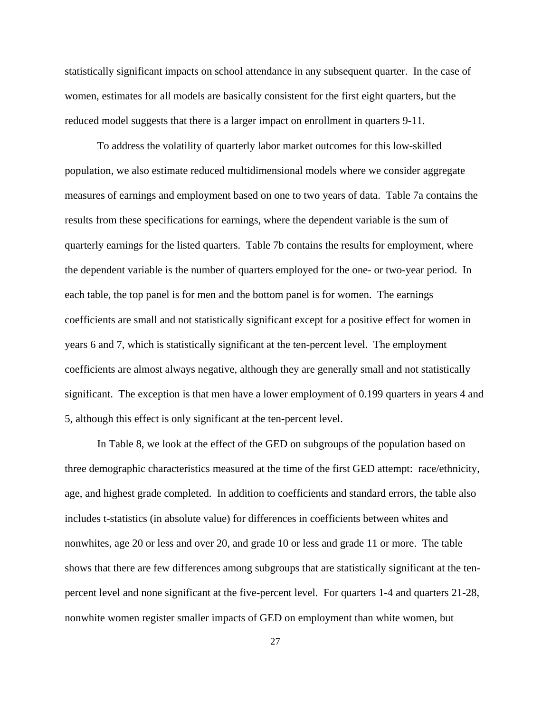statistically significant impacts on school attendance in any subsequent quarter. In the case of women, estimates for all models are basically consistent for the first eight quarters, but the reduced model suggests that there is a larger impact on enrollment in quarters 9-11.

To address the volatility of quarterly labor market outcomes for this low-skilled population, we also estimate reduced multidimensional models where we consider aggregate measures of earnings and employment based on one to two years of data. Table 7a contains the results from these specifications for earnings, where the dependent variable is the sum of quarterly earnings for the listed quarters. Table 7b contains the results for employment, where the dependent variable is the number of quarters employed for the one- or two-year period. In each table, the top panel is for men and the bottom panel is for women. The earnings coefficients are small and not statistically significant except for a positive effect for women in years 6 and 7, which is statistically significant at the ten-percent level. The employment coefficients are almost always negative, although they are generally small and not statistically significant. The exception is that men have a lower employment of 0.199 quarters in years 4 and 5, although this effect is only significant at the ten-percent level.

In Table 8, we look at the effect of the GED on subgroups of the population based on three demographic characteristics measured at the time of the first GED attempt: race/ethnicity, age, and highest grade completed. In addition to coefficients and standard errors, the table also includes t-statistics (in absolute value) for differences in coefficients between whites and nonwhites, age 20 or less and over 20, and grade 10 or less and grade 11 or more. The table shows that there are few differences among subgroups that are statistically significant at the tenpercent level and none significant at the five-percent level. For quarters 1-4 and quarters 21-28, nonwhite women register smaller impacts of GED on employment than white women, but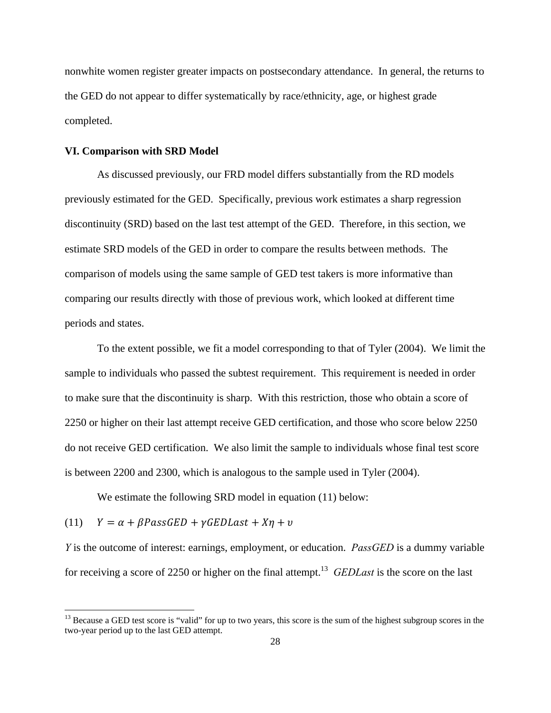nonwhite women register greater impacts on postsecondary attendance. In general, the returns to the GED do not appear to differ systematically by race/ethnicity, age, or highest grade completed.

#### **VI. Comparison with SRD Model**

As discussed previously, our FRD model differs substantially from the RD models previously estimated for the GED. Specifically, previous work estimates a sharp regression discontinuity (SRD) based on the last test attempt of the GED. Therefore, in this section, we estimate SRD models of the GED in order to compare the results between methods. The comparison of models using the same sample of GED test takers is more informative than comparing our results directly with those of previous work, which looked at different time periods and states.

To the extent possible, we fit a model corresponding to that of Tyler (2004). We limit the sample to individuals who passed the subtest requirement. This requirement is needed in order to make sure that the discontinuity is sharp. With this restriction, those who obtain a score of 2250 or higher on their last attempt receive GED certification, and those who score below 2250 do not receive GED certification. We also limit the sample to individuals whose final test score is between 2200 and 2300, which is analogous to the sample used in Tyler (2004).

We estimate the following SRD model in equation (11) below:

(11)  $Y = \alpha + \beta \text{PassGED} + \gamma \text{GEDLast} + X\eta + v$ 

*Y* is the outcome of interest: earnings, employment, or education. *PassGED* is a dummy variable for receiving a score of 2250 or higher on the final attempt.13 *GEDLast* is the score on the last

<sup>&</sup>lt;sup>13</sup> Because a GED test score is "valid" for up to two years, this score is the sum of the highest subgroup scores in the two-year period up to the last GED attempt.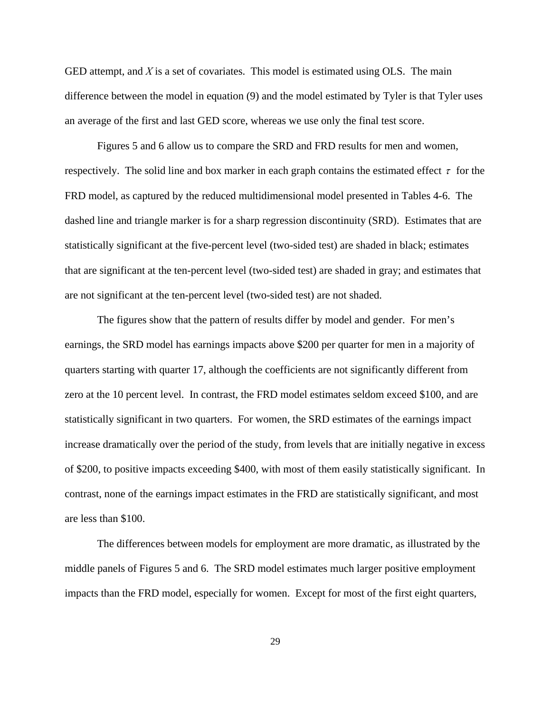GED attempt, and *X* is a set of covariates. This model is estimated using OLS. The main difference between the model in equation (9) and the model estimated by Tyler is that Tyler uses an average of the first and last GED score, whereas we use only the final test score.

Figures 5 and 6 allow us to compare the SRD and FRD results for men and women, respectively. The solid line and box marker in each graph contains the estimated effect  $\tau$  for the FRD model, as captured by the reduced multidimensional model presented in Tables 4-6. The dashed line and triangle marker is for a sharp regression discontinuity (SRD). Estimates that are statistically significant at the five-percent level (two-sided test) are shaded in black; estimates that are significant at the ten-percent level (two-sided test) are shaded in gray; and estimates that are not significant at the ten-percent level (two-sided test) are not shaded.

The figures show that the pattern of results differ by model and gender. For men's earnings, the SRD model has earnings impacts above \$200 per quarter for men in a majority of quarters starting with quarter 17, although the coefficients are not significantly different from zero at the 10 percent level. In contrast, the FRD model estimates seldom exceed \$100, and are statistically significant in two quarters. For women, the SRD estimates of the earnings impact increase dramatically over the period of the study, from levels that are initially negative in excess of \$200, to positive impacts exceeding \$400, with most of them easily statistically significant. In contrast, none of the earnings impact estimates in the FRD are statistically significant, and most are less than \$100.

The differences between models for employment are more dramatic, as illustrated by the middle panels of Figures 5 and 6. The SRD model estimates much larger positive employment impacts than the FRD model, especially for women. Except for most of the first eight quarters,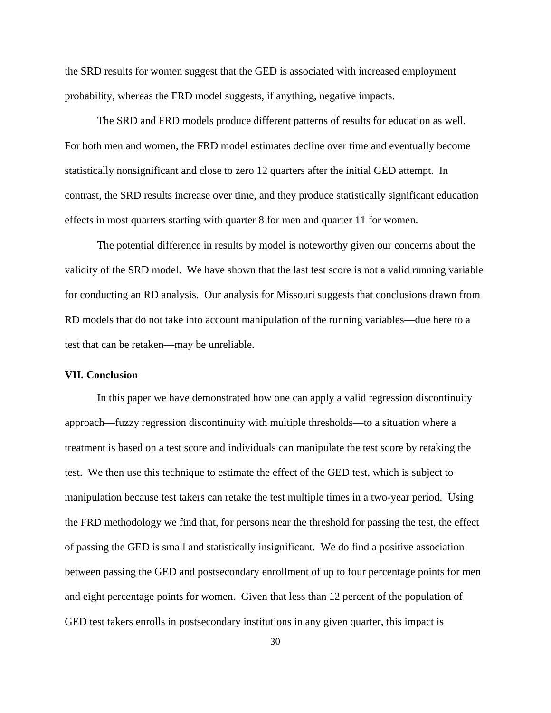the SRD results for women suggest that the GED is associated with increased employment probability, whereas the FRD model suggests, if anything, negative impacts.

The SRD and FRD models produce different patterns of results for education as well. For both men and women, the FRD model estimates decline over time and eventually become statistically nonsignificant and close to zero 12 quarters after the initial GED attempt. In contrast, the SRD results increase over time, and they produce statistically significant education effects in most quarters starting with quarter 8 for men and quarter 11 for women.

The potential difference in results by model is noteworthy given our concerns about the validity of the SRD model. We have shown that the last test score is not a valid running variable for conducting an RD analysis. Our analysis for Missouri suggests that conclusions drawn from RD models that do not take into account manipulation of the running variables—due here to a test that can be retaken—may be unreliable.

#### **VII. Conclusion**

In this paper we have demonstrated how one can apply a valid regression discontinuity approach—fuzzy regression discontinuity with multiple thresholds—to a situation where a treatment is based on a test score and individuals can manipulate the test score by retaking the test. We then use this technique to estimate the effect of the GED test, which is subject to manipulation because test takers can retake the test multiple times in a two-year period. Using the FRD methodology we find that, for persons near the threshold for passing the test, the effect of passing the GED is small and statistically insignificant. We do find a positive association between passing the GED and postsecondary enrollment of up to four percentage points for men and eight percentage points for women. Given that less than 12 percent of the population of GED test takers enrolls in postsecondary institutions in any given quarter, this impact is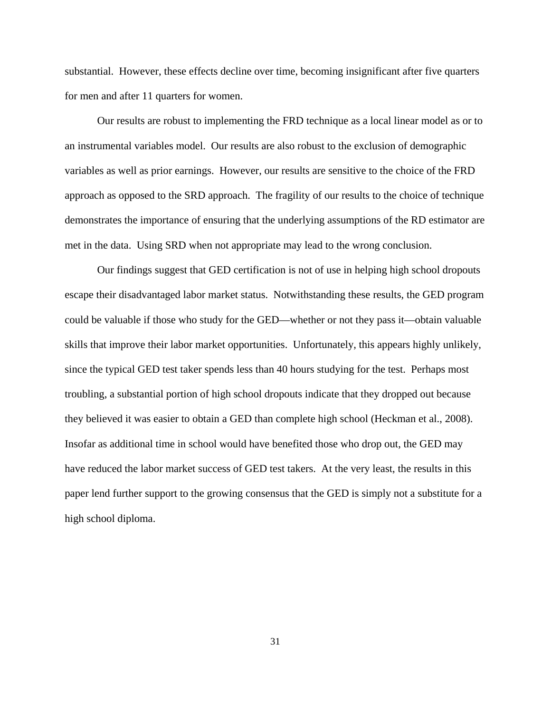substantial. However, these effects decline over time, becoming insignificant after five quarters for men and after 11 quarters for women.

Our results are robust to implementing the FRD technique as a local linear model as or to an instrumental variables model. Our results are also robust to the exclusion of demographic variables as well as prior earnings. However, our results are sensitive to the choice of the FRD approach as opposed to the SRD approach. The fragility of our results to the choice of technique demonstrates the importance of ensuring that the underlying assumptions of the RD estimator are met in the data. Using SRD when not appropriate may lead to the wrong conclusion.

 Our findings suggest that GED certification is not of use in helping high school dropouts escape their disadvantaged labor market status. Notwithstanding these results, the GED program could be valuable if those who study for the GED—whether or not they pass it—obtain valuable skills that improve their labor market opportunities. Unfortunately, this appears highly unlikely, since the typical GED test taker spends less than 40 hours studying for the test. Perhaps most troubling, a substantial portion of high school dropouts indicate that they dropped out because they believed it was easier to obtain a GED than complete high school (Heckman et al., 2008). Insofar as additional time in school would have benefited those who drop out, the GED may have reduced the labor market success of GED test takers. At the very least, the results in this paper lend further support to the growing consensus that the GED is simply not a substitute for a high school diploma.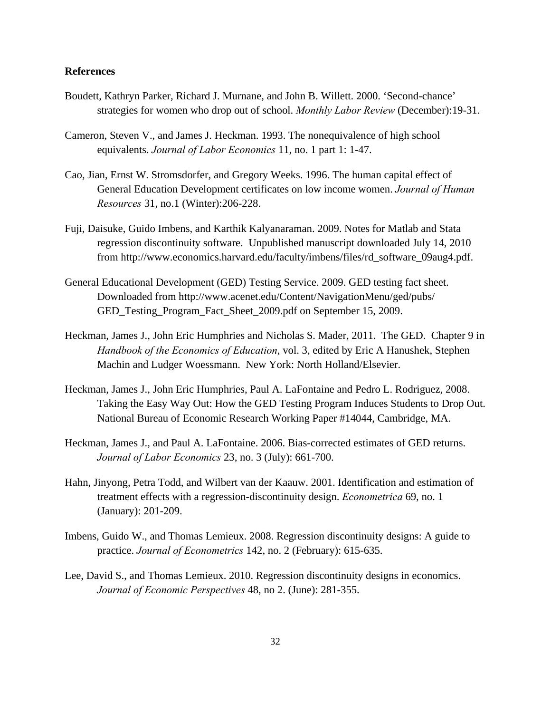#### **References**

- Boudett, Kathryn Parker, Richard J. Murnane, and John B. Willett. 2000. 'Second-chance' strategies for women who drop out of school. *Monthly Labor Review* (December):19-31.
- Cameron, Steven V., and James J. Heckman. 1993. The nonequivalence of high school equivalents. *Journal of Labor Economics* 11, no. 1 part 1: 1-47.
- Cao, Jian, Ernst W. Stromsdorfer, and Gregory Weeks. 1996. The human capital effect of General Education Development certificates on low income women. *Journal of Human Resources* 31, no.1 (Winter):206-228.
- Fuji, Daisuke, Guido Imbens, and Karthik Kalyanaraman. 2009. Notes for Matlab and Stata regression discontinuity software. Unpublished manuscript downloaded July 14, 2010 from http://www.economics.harvard.edu/faculty/imbens/files/rd\_software\_09aug4.pdf.
- General Educational Development (GED) Testing Service. 2009. GED testing fact sheet. Downloaded from http://www.acenet.edu/Content/NavigationMenu/ged/pubs/ GED\_Testing\_Program\_Fact\_Sheet\_2009.pdf on September 15, 2009.
- Heckman, James J., John Eric Humphries and Nicholas S. Mader, 2011. The GED. Chapter 9 in *Handbook of the Economics of Education*, vol. 3, edited by Eric A Hanushek, Stephen Machin and Ludger Woessmann. New York: North Holland/Elsevier.
- Heckman, James J., John Eric Humphries, Paul A. LaFontaine and Pedro L. Rodriguez, 2008. Taking the Easy Way Out: How the GED Testing Program Induces Students to Drop Out. National Bureau of Economic Research Working Paper #14044, Cambridge, MA.
- Heckman, James J., and Paul A. LaFontaine. 2006. Bias-corrected estimates of GED returns. *Journal of Labor Economics* 23, no. 3 (July): 661-700.
- Hahn, Jinyong, Petra Todd, and Wilbert van der Kaauw. 2001. Identification and estimation of treatment effects with a regression-discontinuity design. *Econometrica* 69, no. 1 (January): 201-209.
- Imbens, Guido W., and Thomas Lemieux. 2008. Regression discontinuity designs: A guide to practice. *Journal of Econometrics* 142, no. 2 (February): 615-635.
- Lee, David S., and Thomas Lemieux. 2010. Regression discontinuity designs in economics. *Journal of Economic Perspectives* 48, no 2. (June): 281-355.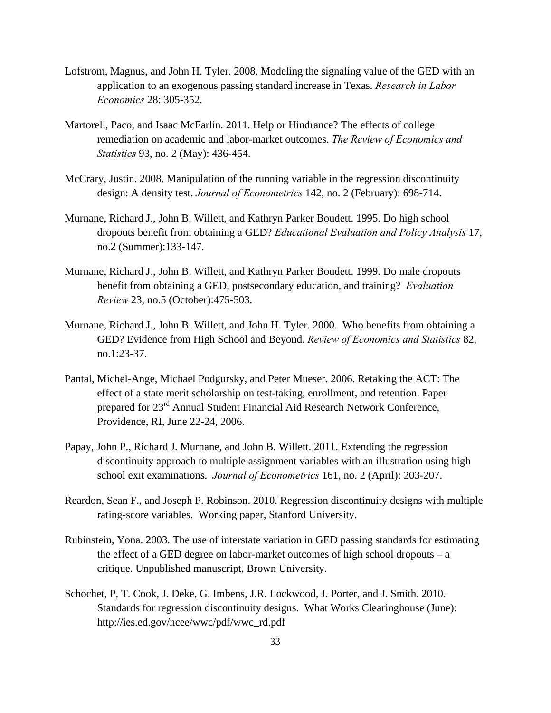- Lofstrom, Magnus, and John H. Tyler. 2008. Modeling the signaling value of the GED with an application to an exogenous passing standard increase in Texas. *Research in Labor Economics* 28: 305-352.
- Martorell, Paco, and Isaac McFarlin. 2011. Help or Hindrance? The effects of college remediation on academic and labor-market outcomes. *The Review of Economics and Statistics* 93, no. 2 (May): 436-454.
- McCrary, Justin. 2008. Manipulation of the running variable in the regression discontinuity design: A density test. *Journal of Econometrics* 142, no. 2 (February): 698-714.
- Murnane, Richard J., John B. Willett, and Kathryn Parker Boudett. 1995. Do high school dropouts benefit from obtaining a GED? *Educational Evaluation and Policy Analysis* 17, no.2 (Summer):133-147.
- Murnane, Richard J., John B. Willett, and Kathryn Parker Boudett. 1999. Do male dropouts benefit from obtaining a GED, postsecondary education, and training? *Evaluation Review* 23, no.5 (October):475-503.
- Murnane, Richard J., John B. Willett, and John H. Tyler. 2000. Who benefits from obtaining a GED? Evidence from High School and Beyond. *Review of Economics and Statistics* 82, no.1:23-37.
- Pantal, Michel-Ange, Michael Podgursky, and Peter Mueser. 2006. Retaking the ACT: The effect of a state merit scholarship on test-taking, enrollment, and retention. Paper prepared for 23rd Annual Student Financial Aid Research Network Conference, Providence, RI, June 22-24, 2006.
- Papay, John P., Richard J. Murnane, and John B. Willett. 2011. Extending the regression discontinuity approach to multiple assignment variables with an illustration using high school exit examinations. *Journal of Econometrics* 161, no. 2 (April): 203-207.
- Reardon, Sean F., and Joseph P. Robinson. 2010. Regression discontinuity designs with multiple rating-score variables. Working paper, Stanford University.
- Rubinstein, Yona. 2003. The use of interstate variation in GED passing standards for estimating the effect of a GED degree on labor-market outcomes of high school dropouts – a critique. Unpublished manuscript, Brown University.
- Schochet, P, T. Cook, J. Deke, G. Imbens, J.R. Lockwood, J. Porter, and J. Smith. 2010. Standards for regression discontinuity designs. What Works Clearinghouse (June): http://ies.ed.gov/ncee/wwc/pdf/wwc\_rd.pdf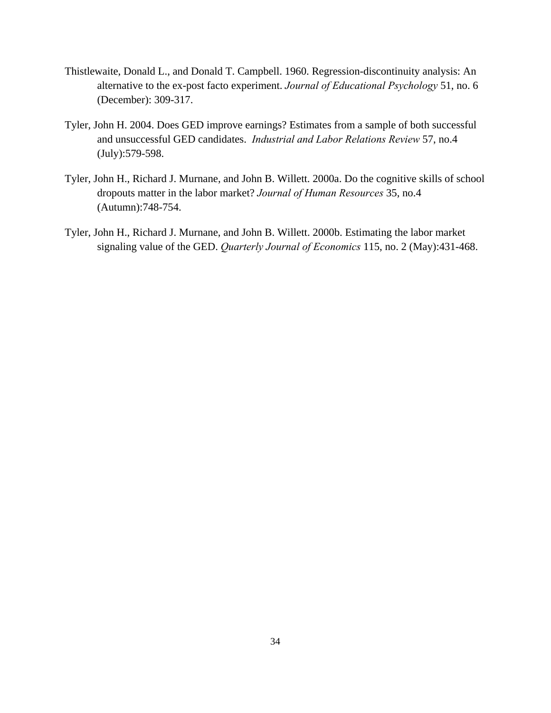- Thistlewaite, Donald L., and Donald T. Campbell. 1960. Regression-discontinuity analysis: An alternative to the ex-post facto experiment. *Journal of Educational Psychology* 51, no. 6 (December): 309-317.
- Tyler, John H. 2004. Does GED improve earnings? Estimates from a sample of both successful and unsuccessful GED candidates. *Industrial and Labor Relations Review* 57, no.4 (July):579-598.
- Tyler, John H., Richard J. Murnane, and John B. Willett. 2000a. Do the cognitive skills of school dropouts matter in the labor market? *Journal of Human Resources* 35, no.4 (Autumn):748-754.
- Tyler, John H., Richard J. Murnane, and John B. Willett. 2000b. Estimating the labor market signaling value of the GED. *Quarterly Journal of Economics* 115, no. 2 (May):431-468.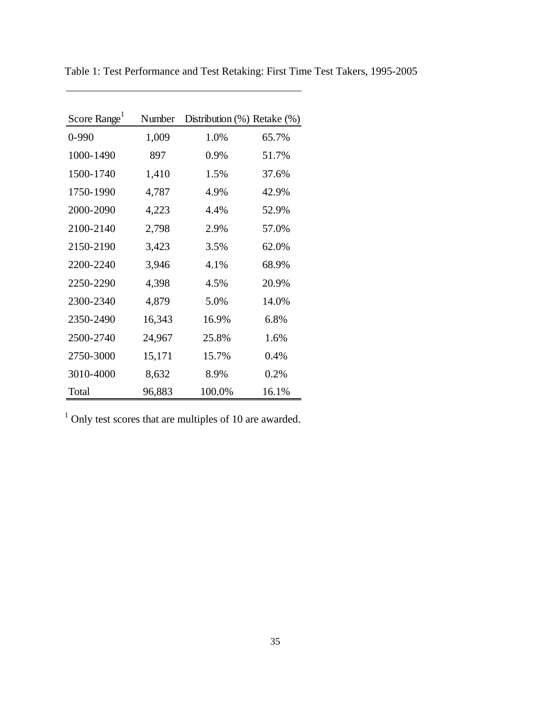| Score Range <sup>1</sup> | Number | Distribution $(\%)$ Retake $(\%)$ |       |
|--------------------------|--------|-----------------------------------|-------|
| $0 - 990$                | 1,009  | 1.0%                              | 65.7% |
| 1000-1490                | 897    | 0.9%                              | 51.7% |
| 1500-1740                | 1,410  | 1.5%                              | 37.6% |
| 1750-1990                | 4,787  | 4.9%                              | 42.9% |
| 2000-2090                | 4,223  | 4.4%                              | 52.9% |
| 2100-2140                | 2,798  | 2.9%                              | 57.0% |
| 2150-2190                | 3,423  | 3.5%                              | 62.0% |
| 2200-2240                | 3,946  | 4.1%                              | 68.9% |
| 2250-2290                | 4,398  | 4.5%                              | 20.9% |
| 2300-2340                | 4,879  | 5.0%                              | 14.0% |
| 2350-2490                | 16,343 | 16.9%                             | 6.8%  |
| 2500-2740                | 24,967 | 25.8%                             | 1.6%  |
| 2750-3000                | 15,171 | 15.7%                             | 0.4%  |
| 3010-4000                | 8,632  | 8.9%                              | 0.2%  |
| Total                    | 96,883 | 100.0%                            | 16.1% |

Table 1: Test Performance and Test Retaking: First Time Test Takers, 1995-2005

<sup>1</sup> Only test scores that are multiples of 10 are awarded.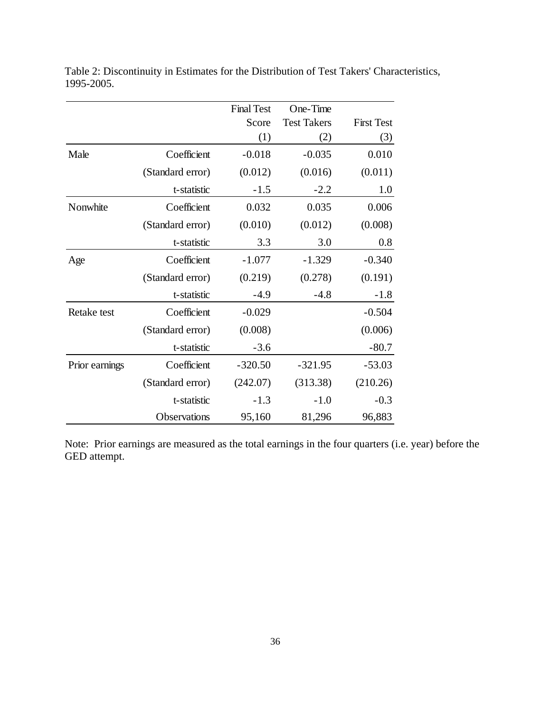|                |                  | <b>Final Test</b> | One-Time           |                   |
|----------------|------------------|-------------------|--------------------|-------------------|
|                |                  | Score             | <b>Test Takers</b> | <b>First Test</b> |
|                |                  | (1)               | (2)                | (3)               |
| Male           | Coefficient      | $-0.018$          | $-0.035$           | 0.010             |
|                | (Standard error) | (0.012)           | (0.016)            | (0.011)           |
|                | t-statistic      | $-1.5$            | $-2.2$             | 1.0               |
| Nonwhite       | Coefficient      | 0.032             | 0.035              | 0.006             |
|                | (Standard error) | (0.010)           | (0.012)            | (0.008)           |
|                | t-statistic      | 3.3               | 3.0                | 0.8               |
| Age            | Coefficient      | $-1.077$          | $-1.329$           | $-0.340$          |
|                | (Standard error) | (0.219)           | (0.278)            | (0.191)           |
|                | t-statistic      | $-4.9$            | $-4.8$             | $-1.8$            |
| Retake test    | Coefficient      | $-0.029$          |                    | $-0.504$          |
|                | (Standard error) | (0.008)           |                    | (0.006)           |
|                | t-statistic      | $-3.6$            |                    | $-80.7$           |
| Prior earnings | Coefficient      | $-320.50$         | $-321.95$          | $-53.03$          |
|                | (Standard error) | (242.07)          | (313.38)           | (210.26)          |
|                | t-statistic      | $-1.3$            | $-1.0$             | $-0.3$            |
|                | Observations     | 95,160            | 81,296             | 96,883            |

Table 2: Discontinuity in Estimates for the Distribution of Test Takers' Characteristics, 1995-2005.

Note: Prior earnings are measured as the total earnings in the four quarters (i.e. year) before the GED attempt.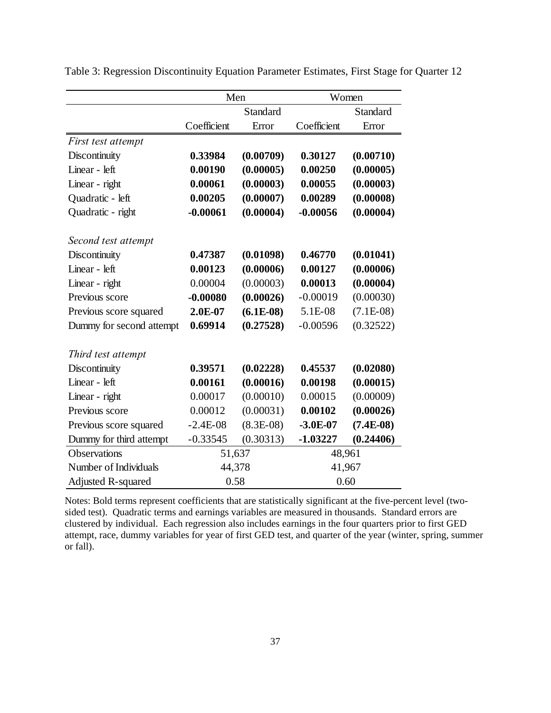|                          | Men         |                 | Women       |             |  |  |
|--------------------------|-------------|-----------------|-------------|-------------|--|--|
|                          |             | <b>Standard</b> |             | Standard    |  |  |
|                          | Coefficient | Error           | Coefficient | Error       |  |  |
| First test attempt       |             |                 |             |             |  |  |
| Discontinuity            | 0.33984     | (0.00709)       | 0.30127     | (0.00710)   |  |  |
| Linear - left            | 0.00190     | (0.00005)       | 0.00250     | (0.00005)   |  |  |
| Linear - right           | 0.00061     | (0.00003)       | 0.00055     | (0.00003)   |  |  |
| Quadratic - left         | 0.00205     | (0.00007)       | 0.00289     | (0.00008)   |  |  |
| Quadratic - right        | $-0.00061$  | (0.00004)       | $-0.00056$  | (0.00004)   |  |  |
| Second test attempt      |             |                 |             |             |  |  |
| Discontinuity            | 0.47387     | (0.01098)       | 0.46770     | (0.01041)   |  |  |
| Linear - left            | 0.00123     | (0.00006)       | 0.00127     | (0.00006)   |  |  |
| Linear - right           | 0.00004     | (0.00003)       | 0.00013     | (0.00004)   |  |  |
| Previous score           | $-0.00080$  | (0.00026)       | $-0.00019$  | (0.00030)   |  |  |
| Previous score squared   | 2.0E-07     | $(6.1E-08)$     | 5.1E-08     | $(7.1E-08)$ |  |  |
| Dummy for second attempt | 0.69914     | (0.27528)       | $-0.00596$  | (0.32522)   |  |  |
| Third test attempt       |             |                 |             |             |  |  |
| Discontinuity            | 0.39571     | (0.02228)       | 0.45537     | (0.02080)   |  |  |
| Linear - left            | 0.00161     | (0.00016)       | 0.00198     | (0.00015)   |  |  |
| Linear - right           | 0.00017     | (0.00010)       | 0.00015     | (0.00009)   |  |  |
| Previous score           | 0.00012     | (0.00031)       | 0.00102     | (0.00026)   |  |  |
| Previous score squared   | $-2.4E-08$  | $(8.3E-08)$     | $-3.0E-07$  | $(7.4E-08)$ |  |  |
| Dummy for third attempt  | $-0.33545$  | (0.30313)       | $-1.03227$  | (0.24406)   |  |  |
| <b>Observations</b>      | 51,637      |                 | 48,961      |             |  |  |
| Number of Individuals    | 44,378      |                 | 41,967      |             |  |  |
| Adjusted R-squared       | 0.58        |                 | 0.60        |             |  |  |

Table 3: Regression Discontinuity Equation Parameter Estimates, First Stage for Quarter 12

Notes: Bold terms represent coefficients that are statistically significant at the five-percent level (twosided test). Quadratic terms and earnings variables are measured in thousands. Standard errors are clustered by individual. Each regression also includes earnings in the four quarters prior to first GED attempt, race, dummy variables for year of first GED test, and quarter of the year (winter, spring, summer or fall).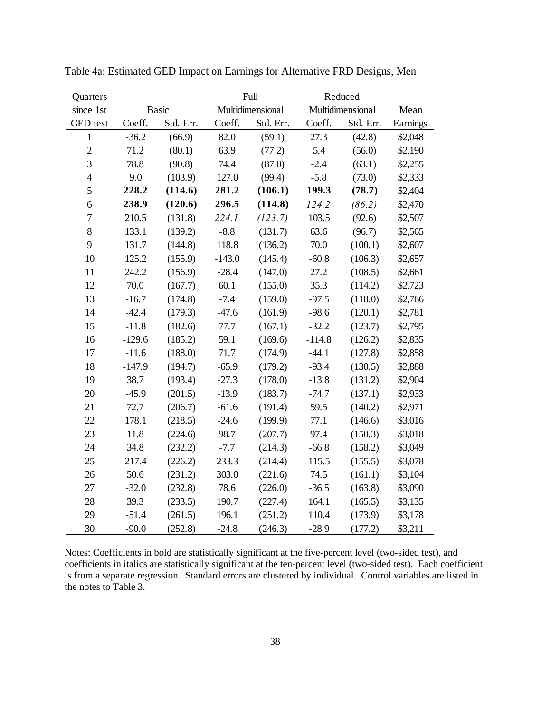| Quarters       |          |              |          | Full             |          | Reduced          |          |
|----------------|----------|--------------|----------|------------------|----------|------------------|----------|
| since 1st      |          | <b>Basic</b> |          | Multidimensional |          | Multidimensional | Mean     |
| GED test       | Coeff.   | Std. Err.    | Coeff.   | Std. Err.        | Coeff.   | Std. Err.        | Earnings |
| $\mathbf{1}$   | $-36.2$  | (66.9)       | 82.0     | (59.1)           | 27.3     | (42.8)           | \$2,048  |
| $\sqrt{2}$     | 71.2     | (80.1)       | 63.9     | (77.2)           | 5.4      | (56.0)           | \$2,190  |
| $\overline{3}$ | 78.8     | (90.8)       | 74.4     | (87.0)           | $-2.4$   | (63.1)           | \$2,255  |
| $\overline{4}$ | 9.0      | (103.9)      | 127.0    | (99.4)           | $-5.8$   | (73.0)           | \$2,333  |
| 5              | 228.2    | (114.6)      | 281.2    | (106.1)          | 199.3    | (78.7)           | \$2,404  |
| 6              | 238.9    | (120.6)      | 296.5    | (114.8)          | 124.2    | (86.2)           | \$2,470  |
| 7              | 210.5    | (131.8)      | 224.1    | (123.7)          | 103.5    | (92.6)           | \$2,507  |
| 8              | 133.1    | (139.2)      | $-8.8$   | (131.7)          | 63.6     | (96.7)           | \$2,565  |
| 9              | 131.7    | (144.8)      | 118.8    | (136.2)          | 70.0     | (100.1)          | \$2,607  |
| $10\,$         | 125.2    | (155.9)      | $-143.0$ | (145.4)          | $-60.8$  | (106.3)          | \$2,657  |
| 11             | 242.2    | (156.9)      | $-28.4$  | (147.0)          | 27.2     | (108.5)          | \$2,661  |
| 12             | 70.0     | (167.7)      | 60.1     | (155.0)          | 35.3     | (114.2)          | \$2,723  |
| 13             | $-16.7$  | (174.8)      | $-7.4$   | (159.0)          | $-97.5$  | (118.0)          | \$2,766  |
| 14             | $-42.4$  | (179.3)      | $-47.6$  | (161.9)          | $-98.6$  | (120.1)          | \$2,781  |
| 15             | $-11.8$  | (182.6)      | 77.7     | (167.1)          | $-32.2$  | (123.7)          | \$2,795  |
| 16             | $-129.6$ | (185.2)      | 59.1     | (169.6)          | $-114.8$ | (126.2)          | \$2,835  |
| 17             | $-11.6$  | (188.0)      | 71.7     | (174.9)          | $-44.1$  | (127.8)          | \$2,858  |
| 18             | $-147.9$ | (194.7)      | $-65.9$  | (179.2)          | $-93.4$  | (130.5)          | \$2,888  |
| 19             | 38.7     | (193.4)      | $-27.3$  | (178.0)          | $-13.8$  | (131.2)          | \$2,904  |
| 20             | $-45.9$  | (201.5)      | $-13.9$  | (183.7)          | $-74.7$  | (137.1)          | \$2,933  |
| 21             | 72.7     | (206.7)      | $-61.6$  | (191.4)          | 59.5     | (140.2)          | \$2,971  |
| 22             | 178.1    | (218.5)      | $-24.6$  | (199.9)          | 77.1     | (146.6)          | \$3,016  |
| 23             | 11.8     | (224.6)      | 98.7     | (207.7)          | 97.4     | (150.3)          | \$3,018  |
| 24             | 34.8     | (232.2)      | $-7.7$   | (214.3)          | $-66.8$  | (158.2)          | \$3,049  |
| 25             | 217.4    | (226.2)      | 233.3    | (214.4)          | 115.5    | (155.5)          | \$3,078  |
| 26             | 50.6     | (231.2)      | 303.0    | (221.6)          | 74.5     | (161.1)          | \$3,104  |
| 27             | $-32.0$  | (232.8)      | 78.6     | (226.0)          | $-36.5$  | (163.8)          | \$3,090  |
| 28             | 39.3     | (233.5)      | 190.7    | (227.4)          | 164.1    | (165.5)          | \$3,135  |
| 29             | $-51.4$  | (261.5)      | 196.1    | (251.2)          | 110.4    | (173.9)          | \$3,178  |
| 30             | $-90.0$  | (252.8)      | $-24.8$  | (246.3)          | $-28.9$  | (177.2)          | \$3,211  |

Table 4a: Estimated GED Impact on Earnings for Alternative FRD Designs, Men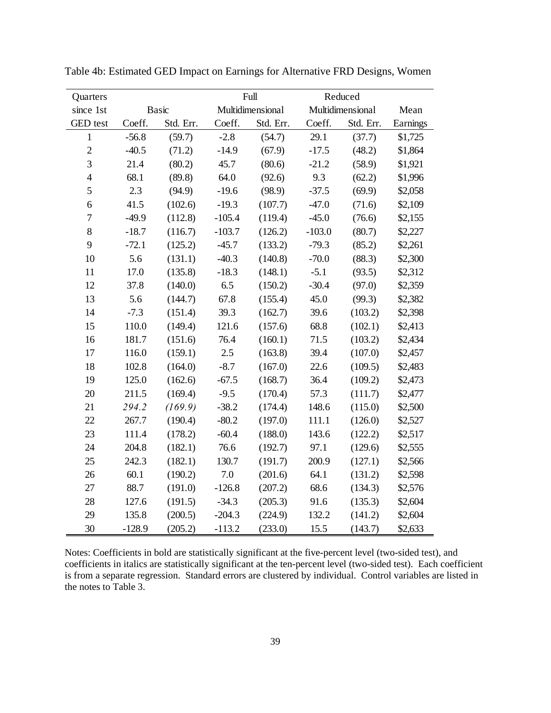| Quarters       |          |           |          | Full             |          | Reduced          |          |
|----------------|----------|-----------|----------|------------------|----------|------------------|----------|
| since 1st      |          | Basic     |          | Multidimensional |          | Multidimensional | Mean     |
| GED test       | Coeff.   | Std. Err. | Coeff.   | Std. Err.        | Coeff.   | Std. Err.        | Earnings |
| $\mathbf{1}$   | $-56.8$  | (59.7)    | $-2.8$   | (54.7)           | 29.1     | (37.7)           | \$1,725  |
| $\sqrt{2}$     | $-40.5$  | (71.2)    | $-14.9$  | (67.9)           | $-17.5$  | (48.2)           | \$1,864  |
| $\overline{3}$ | 21.4     | (80.2)    | 45.7     | (80.6)           | $-21.2$  | (58.9)           | \$1,921  |
| $\overline{4}$ | 68.1     | (89.8)    | 64.0     | (92.6)           | 9.3      | (62.2)           | \$1,996  |
| 5              | 2.3      | (94.9)    | $-19.6$  | (98.9)           | $-37.5$  | (69.9)           | \$2,058  |
| 6              | 41.5     | (102.6)   | $-19.3$  | (107.7)          | $-47.0$  | (71.6)           | \$2,109  |
| $\tau$         | $-49.9$  | (112.8)   | $-105.4$ | (119.4)          | $-45.0$  | (76.6)           | \$2,155  |
| $8\,$          | $-18.7$  | (116.7)   | $-103.7$ | (126.2)          | $-103.0$ | (80.7)           | \$2,227  |
| 9              | $-72.1$  | (125.2)   | $-45.7$  | (133.2)          | $-79.3$  | (85.2)           | \$2,261  |
| 10             | 5.6      | (131.1)   | $-40.3$  | (140.8)          | $-70.0$  | (88.3)           | \$2,300  |
| 11             | 17.0     | (135.8)   | $-18.3$  | (148.1)          | $-5.1$   | (93.5)           | \$2,312  |
| 12             | 37.8     | (140.0)   | 6.5      | (150.2)          | $-30.4$  | (97.0)           | \$2,359  |
| 13             | 5.6      | (144.7)   | 67.8     | (155.4)          | 45.0     | (99.3)           | \$2,382  |
| 14             | $-7.3$   | (151.4)   | 39.3     | (162.7)          | 39.6     | (103.2)          | \$2,398  |
| 15             | 110.0    | (149.4)   | 121.6    | (157.6)          | 68.8     | (102.1)          | \$2,413  |
| 16             | 181.7    | (151.6)   | 76.4     | (160.1)          | 71.5     | (103.2)          | \$2,434  |
| 17             | 116.0    | (159.1)   | 2.5      | (163.8)          | 39.4     | (107.0)          | \$2,457  |
| 18             | 102.8    | (164.0)   | $-8.7$   | (167.0)          | 22.6     | (109.5)          | \$2,483  |
| 19             | 125.0    | (162.6)   | $-67.5$  | (168.7)          | 36.4     | (109.2)          | \$2,473  |
| 20             | 211.5    | (169.4)   | $-9.5$   | (170.4)          | 57.3     | (111.7)          | \$2,477  |
| 21             | 294.2    | (169.9)   | $-38.2$  | (174.4)          | 148.6    | (115.0)          | \$2,500  |
| 22             | 267.7    | (190.4)   | $-80.2$  | (197.0)          | 111.1    | (126.0)          | \$2,527  |
| 23             | 111.4    | (178.2)   | $-60.4$  | (188.0)          | 143.6    | (122.2)          | \$2,517  |
| 24             | 204.8    | (182.1)   | 76.6     | (192.7)          | 97.1     | (129.6)          | \$2,555  |
| 25             | 242.3    | (182.1)   | 130.7    | (191.7)          | 200.9    | (127.1)          | \$2,566  |
| 26             | 60.1     | (190.2)   | 7.0      | (201.6)          | 64.1     | (131.2)          | \$2,598  |
| 27             | 88.7     | (191.0)   | $-126.8$ | (207.2)          | 68.6     | (134.3)          | \$2,576  |
| 28             | 127.6    | (191.5)   | $-34.3$  | (205.3)          | 91.6     | (135.3)          | \$2,604  |
| 29             | 135.8    | (200.5)   | $-204.3$ | (224.9)          | 132.2    | (141.2)          | \$2,604  |
| 30             | $-128.9$ | (205.2)   | $-113.2$ | (233.0)          | 15.5     | (143.7)          | \$2,633  |

Table 4b: Estimated GED Impact on Earnings for Alternative FRD Designs, Women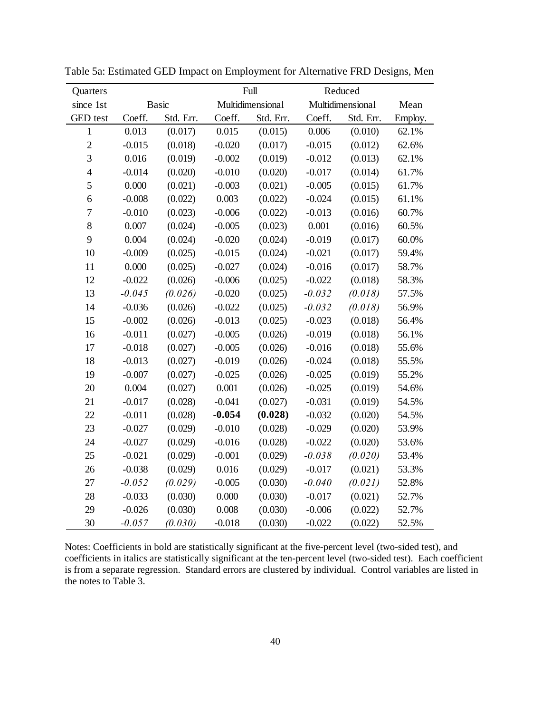| Quarters        |          |              | Full     |                  | Reduced  |                  |         |
|-----------------|----------|--------------|----------|------------------|----------|------------------|---------|
| since 1st       |          | <b>Basic</b> |          | Multidimensional |          | Multidimensional | Mean    |
| <b>GED</b> test | Coeff.   | Std. Err.    | Coeff.   | Std. Err.        | Coeff.   | Std. Err.        | Employ. |
| $\mathbf{1}$    | 0.013    | (0.017)      | 0.015    | (0.015)          | 0.006    | (0.010)          | 62.1%   |
| $\overline{c}$  | $-0.015$ | (0.018)      | $-0.020$ | (0.017)          | $-0.015$ | (0.012)          | 62.6%   |
| 3               | 0.016    | (0.019)      | $-0.002$ | (0.019)          | $-0.012$ | (0.013)          | 62.1%   |
| $\overline{4}$  | $-0.014$ | (0.020)      | $-0.010$ | (0.020)          | $-0.017$ | (0.014)          | 61.7%   |
| 5               | 0.000    | (0.021)      | $-0.003$ | (0.021)          | $-0.005$ | (0.015)          | 61.7%   |
| 6               | $-0.008$ | (0.022)      | 0.003    | (0.022)          | $-0.024$ | (0.015)          | 61.1%   |
| $\tau$          | $-0.010$ | (0.023)      | $-0.006$ | (0.022)          | $-0.013$ | (0.016)          | 60.7%   |
| $\,8\,$         | 0.007    | (0.024)      | $-0.005$ | (0.023)          | 0.001    | (0.016)          | 60.5%   |
| 9               | 0.004    | (0.024)      | $-0.020$ | (0.024)          | $-0.019$ | (0.017)          | 60.0%   |
| 10              | $-0.009$ | (0.025)      | $-0.015$ | (0.024)          | $-0.021$ | (0.017)          | 59.4%   |
| 11              | 0.000    | (0.025)      | $-0.027$ | (0.024)          | $-0.016$ | (0.017)          | 58.7%   |
| 12              | $-0.022$ | (0.026)      | $-0.006$ | (0.025)          | $-0.022$ | (0.018)          | 58.3%   |
| 13              | $-0.045$ | (0.026)      | $-0.020$ | (0.025)          | $-0.032$ | (0.018)          | 57.5%   |
| 14              | $-0.036$ | (0.026)      | $-0.022$ | (0.025)          | $-0.032$ | (0.018)          | 56.9%   |
| 15              | $-0.002$ | (0.026)      | $-0.013$ | (0.025)          | $-0.023$ | (0.018)          | 56.4%   |
| 16              | $-0.011$ | (0.027)      | $-0.005$ | (0.026)          | $-0.019$ | (0.018)          | 56.1%   |
| 17              | $-0.018$ | (0.027)      | $-0.005$ | (0.026)          | $-0.016$ | (0.018)          | 55.6%   |
| 18              | $-0.013$ | (0.027)      | $-0.019$ | (0.026)          | $-0.024$ | (0.018)          | 55.5%   |
| 19              | $-0.007$ | (0.027)      | $-0.025$ | (0.026)          | $-0.025$ | (0.019)          | 55.2%   |
| 20              | 0.004    | (0.027)      | 0.001    | (0.026)          | $-0.025$ | (0.019)          | 54.6%   |
| 21              | $-0.017$ | (0.028)      | $-0.041$ | (0.027)          | $-0.031$ | (0.019)          | 54.5%   |
| 22              | $-0.011$ | (0.028)      | $-0.054$ | (0.028)          | $-0.032$ | (0.020)          | 54.5%   |
| 23              | $-0.027$ | (0.029)      | $-0.010$ | (0.028)          | $-0.029$ | (0.020)          | 53.9%   |
| 24              | $-0.027$ | (0.029)      | $-0.016$ | (0.028)          | $-0.022$ | (0.020)          | 53.6%   |
| 25              | $-0.021$ | (0.029)      | $-0.001$ | (0.029)          | $-0.038$ | (0.020)          | 53.4%   |
| 26              | $-0.038$ | (0.029)      | 0.016    | (0.029)          | $-0.017$ | (0.021)          | 53.3%   |
| 27              | $-0.052$ | (0.029)      | $-0.005$ | (0.030)          | $-0.040$ | (0.021)          | 52.8%   |
| 28              | $-0.033$ | (0.030)      | 0.000    | (0.030)          | $-0.017$ | (0.021)          | 52.7%   |
| 29              | $-0.026$ | (0.030)      | 0.008    | (0.030)          | $-0.006$ | (0.022)          | 52.7%   |
| 30              | $-0.057$ | (0.030)      | $-0.018$ | (0.030)          | $-0.022$ | (0.022)          | 52.5%   |

Table 5a: Estimated GED Impact on Employment for Alternative FRD Designs, Men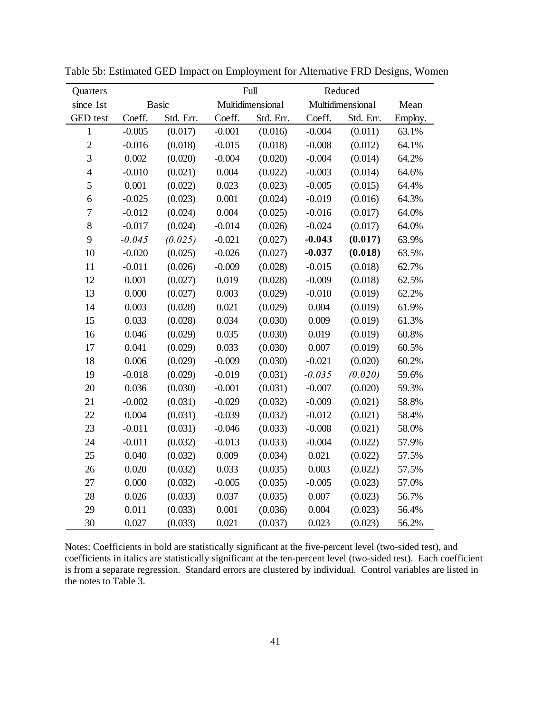| Quarters                |          |              | Full     |                  | Reduced  |                  |         |
|-------------------------|----------|--------------|----------|------------------|----------|------------------|---------|
| since 1st               |          | <b>Basic</b> |          | Multidimensional |          | Multidimensional | Mean    |
| GED test                | Coeff.   | Std. Err.    | Coeff.   | Std. Err.        | Coeff.   | Std. Err.        | Employ. |
| $\mathbf{1}$            | $-0.005$ | (0.017)      | $-0.001$ | (0.016)          | $-0.004$ | (0.011)          | 63.1%   |
| $\overline{c}$          | $-0.016$ | (0.018)      | $-0.015$ | (0.018)          | $-0.008$ | (0.012)          | 64.1%   |
| $\overline{3}$          | 0.002    | (0.020)      | $-0.004$ | (0.020)          | $-0.004$ | (0.014)          | 64.2%   |
| $\overline{\mathbf{4}}$ | $-0.010$ | (0.021)      | 0.004    | (0.022)          | $-0.003$ | (0.014)          | 64.6%   |
| 5                       | 0.001    | (0.022)      | 0.023    | (0.023)          | $-0.005$ | (0.015)          | 64.4%   |
| 6                       | $-0.025$ | (0.023)      | 0.001    | (0.024)          | $-0.019$ | (0.016)          | 64.3%   |
| $\tau$                  | $-0.012$ | (0.024)      | 0.004    | (0.025)          | $-0.016$ | (0.017)          | 64.0%   |
| $8\,$                   | $-0.017$ | (0.024)      | $-0.014$ | (0.026)          | $-0.024$ | (0.017)          | 64.0%   |
| 9                       | $-0.045$ | (0.025)      | $-0.021$ | (0.027)          | $-0.043$ | (0.017)          | 63.9%   |
| 10                      | $-0.020$ | (0.025)      | $-0.026$ | (0.027)          | $-0.037$ | (0.018)          | 63.5%   |
| 11                      | $-0.011$ | (0.026)      | $-0.009$ | (0.028)          | $-0.015$ | (0.018)          | 62.7%   |
| 12                      | 0.001    | (0.027)      | 0.019    | (0.028)          | $-0.009$ | (0.018)          | 62.5%   |
| 13                      | 0.000    | (0.027)      | 0.003    | (0.029)          | $-0.010$ | (0.019)          | 62.2%   |
| 14                      | 0.003    | (0.028)      | 0.021    | (0.029)          | 0.004    | (0.019)          | 61.9%   |
| 15                      | 0.033    | (0.028)      | 0.034    | (0.030)          | 0.009    | (0.019)          | 61.3%   |
| 16                      | 0.046    | (0.029)      | 0.035    | (0.030)          | 0.019    | (0.019)          | 60.8%   |
| 17                      | 0.041    | (0.029)      | 0.033    | (0.030)          | 0.007    | (0.019)          | 60.5%   |
| 18                      | 0.006    | (0.029)      | $-0.009$ | (0.030)          | $-0.021$ | (0.020)          | 60.2%   |
| 19                      | $-0.018$ | (0.029)      | $-0.019$ | (0.031)          | $-0.035$ | (0.020)          | 59.6%   |
| 20                      | 0.036    | (0.030)      | $-0.001$ | (0.031)          | $-0.007$ | (0.020)          | 59.3%   |
| 21                      | $-0.002$ | (0.031)      | $-0.029$ | (0.032)          | $-0.009$ | (0.021)          | 58.8%   |
| 22                      | 0.004    | (0.031)      | $-0.039$ | (0.032)          | $-0.012$ | (0.021)          | 58.4%   |
| 23                      | $-0.011$ | (0.031)      | $-0.046$ | (0.033)          | $-0.008$ | (0.021)          | 58.0%   |
| 24                      | $-0.011$ | (0.032)      | $-0.013$ | (0.033)          | $-0.004$ | (0.022)          | 57.9%   |
| 25                      | 0.040    | (0.032)      | 0.009    | (0.034)          | 0.021    | (0.022)          | 57.5%   |
| 26                      | 0.020    | (0.032)      | 0.033    | (0.035)          | 0.003    | (0.022)          | 57.5%   |
| 27                      | 0.000    | (0.032)      | $-0.005$ | (0.035)          | $-0.005$ | (0.023)          | 57.0%   |
| 28                      | 0.026    | (0.033)      | 0.037    | (0.035)          | 0.007    | (0.023)          | 56.7%   |
| 29                      | 0.011    | (0.033)      | 0.001    | (0.036)          | 0.004    | (0.023)          | 56.4%   |
| 30                      | 0.027    | (0.033)      | 0.021    | (0.037)          | 0.023    | (0.023)          | 56.2%   |

Table 5b: Estimated GED Impact on Employment for Alternative FRD Designs, Women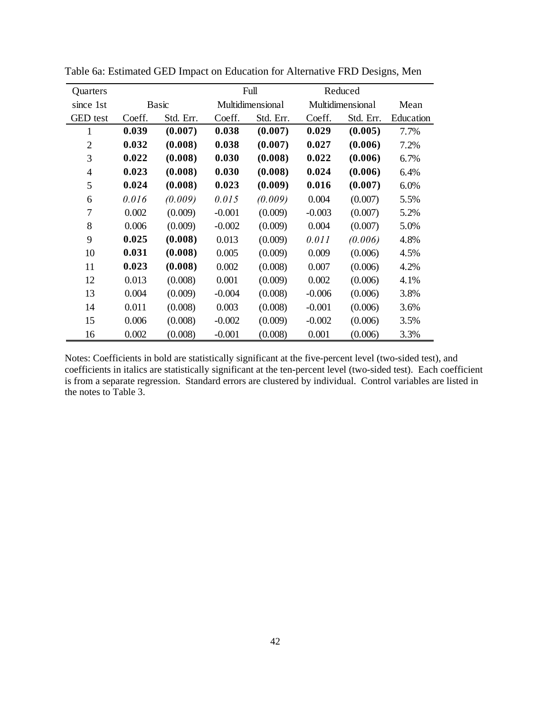| Quarters        |        |              | Full             |           |                  | Reduced   |           |
|-----------------|--------|--------------|------------------|-----------|------------------|-----------|-----------|
| since 1st       |        | <b>Basic</b> | Multidimensional |           | Multidimensional |           | Mean      |
| <b>GED</b> test | Coeff. | Std. Err.    | Coeff.           | Std. Err. | Coeff.           | Std. Err. | Education |
| $\mathbf{1}$    | 0.039  | (0.007)      | 0.038            | (0.007)   | 0.029            | (0.005)   | 7.7%      |
| 2               | 0.032  | (0.008)      | 0.038            | (0.007)   | 0.027            | (0.006)   | 7.2%      |
| 3               | 0.022  | (0.008)      | 0.030            | (0.008)   | 0.022            | (0.006)   | 6.7%      |
| $\overline{4}$  | 0.023  | (0.008)      | 0.030            | (0.008)   | 0.024            | (0.006)   | 6.4%      |
| 5               | 0.024  | (0.008)      | 0.023            | (0.009)   | 0.016            | (0.007)   | 6.0%      |
| 6               | 0.016  | (0.009)      | 0.015            | (0.009)   | 0.004            | (0.007)   | 5.5%      |
| 7               | 0.002  | (0.009)      | $-0.001$         | (0.009)   | $-0.003$         | (0.007)   | 5.2%      |
| 8               | 0.006  | (0.009)      | $-0.002$         | (0.009)   | 0.004            | (0.007)   | 5.0%      |
| 9               | 0.025  | (0.008)      | 0.013            | (0.009)   | 0.011            | (0.006)   | 4.8%      |
| 10              | 0.031  | (0.008)      | 0.005            | (0.009)   | 0.009            | (0.006)   | 4.5%      |
| 11              | 0.023  | (0.008)      | 0.002            | (0.008)   | 0.007            | (0.006)   | 4.2%      |
| 12              | 0.013  | (0.008)      | 0.001            | (0.009)   | 0.002            | (0.006)   | 4.1%      |
| 13              | 0.004  | (0.009)      | $-0.004$         | (0.008)   | $-0.006$         | (0.006)   | 3.8%      |
| 14              | 0.011  | (0.008)      | 0.003            | (0.008)   | $-0.001$         | (0.006)   | 3.6%      |
| 15              | 0.006  | (0.008)      | $-0.002$         | (0.009)   | $-0.002$         | (0.006)   | 3.5%      |
| 16              | 0.002  | (0.008)      | $-0.001$         | (0.008)   | 0.001            | (0.006)   | 3.3%      |

Table 6a: Estimated GED Impact on Education for Alternative FRD Designs, Men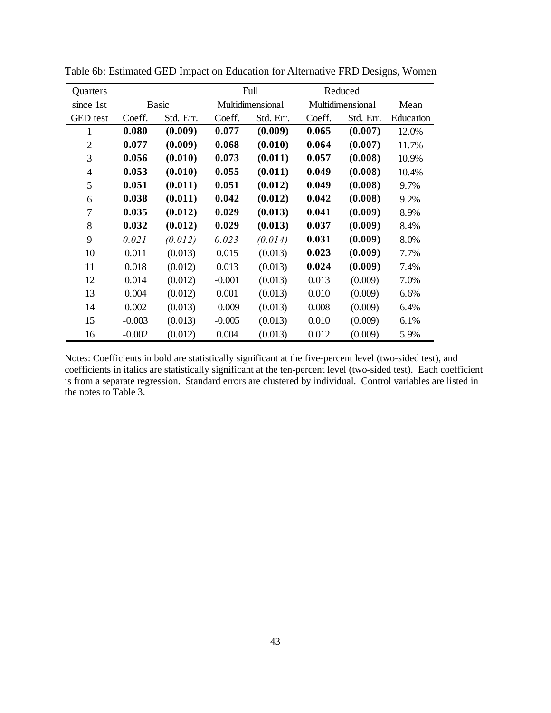| Quarters        |          |              |          | Full             |                  | Reduced   |           |
|-----------------|----------|--------------|----------|------------------|------------------|-----------|-----------|
| since 1st       |          | <b>Basic</b> |          | Multidimensional | Multidimensional |           | Mean      |
| <b>GED</b> test | Coeff.   | Std. Err.    | Coeff.   | Std. Err.        | Coeff.           | Std. Err. | Education |
| 1               | 0.080    | (0.009)      | 0.077    | (0.009)          | 0.065            | (0.007)   | 12.0%     |
| $\overline{2}$  | 0.077    | (0.009)      | 0.068    | (0.010)          | 0.064            | (0.007)   | 11.7%     |
| 3               | 0.056    | (0.010)      | 0.073    | (0.011)          | 0.057            | (0.008)   | 10.9%     |
| $\overline{4}$  | 0.053    | (0.010)      | 0.055    | (0.011)          | 0.049            | (0.008)   | 10.4%     |
| 5               | 0.051    | (0.011)      | 0.051    | (0.012)          | 0.049            | (0.008)   | 9.7%      |
| 6               | 0.038    | (0.011)      | 0.042    | (0.012)          | 0.042            | (0.008)   | 9.2%      |
| 7               | 0.035    | (0.012)      | 0.029    | (0.013)          | 0.041            | (0.009)   | 8.9%      |
| 8               | 0.032    | (0.012)      | 0.029    | (0.013)          | 0.037            | (0.009)   | 8.4%      |
| 9               | 0.021    | (0.012)      | 0.023    | (0.014)          | 0.031            | (0.009)   | 8.0%      |
| 10              | 0.011    | (0.013)      | 0.015    | (0.013)          | 0.023            | (0.009)   | 7.7%      |
| 11              | 0.018    | (0.012)      | 0.013    | (0.013)          | 0.024            | (0.009)   | 7.4%      |
| 12              | 0.014    | (0.012)      | $-0.001$ | (0.013)          | 0.013            | (0.009)   | 7.0%      |
| 13              | 0.004    | (0.012)      | 0.001    | (0.013)          | 0.010            | (0.009)   | 6.6%      |
| 14              | 0.002    | (0.013)      | $-0.009$ | (0.013)          | 0.008            | (0.009)   | 6.4%      |
| 15              | $-0.003$ | (0.013)      | $-0.005$ | (0.013)          | 0.010            | (0.009)   | 6.1%      |
| 16              | $-0.002$ | (0.012)      | 0.004    | (0.013)          | 0.012            | (0.009)   | 5.9%      |

Table 6b: Estimated GED Impact on Education for Alternative FRD Designs, Women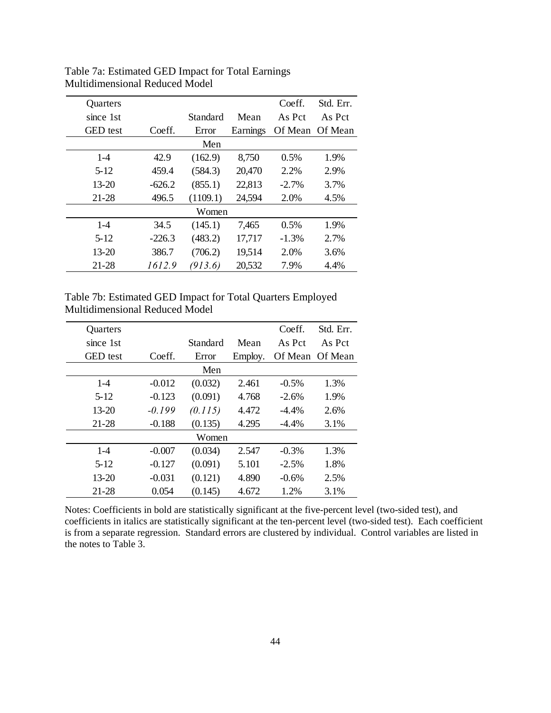| Quarters        |          |          |          | Coeff.   | Std. Err. |  |  |  |  |
|-----------------|----------|----------|----------|----------|-----------|--|--|--|--|
| since 1st       |          | Standard | Mean     | As Pct   | As Pct    |  |  |  |  |
| <b>GED</b> test | Coeff.   | Error    | Earnings | Of Mean  | Of Mean   |  |  |  |  |
| Men             |          |          |          |          |           |  |  |  |  |
| $1 - 4$         | 42.9     | (162.9)  | 8,750    | 0.5%     | 1.9%      |  |  |  |  |
| $5 - 12$        | 459.4    | (584.3)  | 20,470   | 2.2%     | 2.9%      |  |  |  |  |
| $13 - 20$       | $-626.2$ | (855.1)  | 22,813   | $-2.7\%$ | 3.7%      |  |  |  |  |
| 21-28           | 496.5    | (1109.1) | 24,594   | 2.0%     | 4.5%      |  |  |  |  |
|                 |          | Women    |          |          |           |  |  |  |  |
| $1 - 4$         | 34.5     | (145.1)  | 7,465    | 0.5%     | 1.9%      |  |  |  |  |
| $5 - 12$        | $-226.3$ | (483.2)  | 17,717   | $-1.3%$  | 2.7%      |  |  |  |  |
| $13 - 20$       | 386.7    | (706.2)  | 19,514   | 2.0%     | 3.6%      |  |  |  |  |
| 21-28           | 1612.9   | (913.6)  | 20,532   | 7.9%     | 4.4%      |  |  |  |  |

Table 7a: Estimated GED Impact for Total Earnings Multidimensional Reduced Model

Table 7b: Estimated GED Impact for Total Quarters Employed Multidimensional Reduced Model

| <b>Ouarters</b> |          |          |         | Coeff.   | Std. Err. |  |  |  |  |
|-----------------|----------|----------|---------|----------|-----------|--|--|--|--|
| since 1st       |          | Standard | Mean    | As Pct   | As Pct    |  |  |  |  |
| <b>GED</b> test | Coeff.   | Error    | Employ. | Of Mean  | Of Mean   |  |  |  |  |
| Men             |          |          |         |          |           |  |  |  |  |
| $1 - 4$         | $-0.012$ | (0.032)  | 2.461   | $-0.5%$  | 1.3%      |  |  |  |  |
| $5 - 12$        | $-0.123$ | (0.091)  | 4.768   | $-2.6%$  | 1.9%      |  |  |  |  |
| $13 - 20$       | $-0.199$ | (0.115)  | 4.472   | $-4.4\%$ | 2.6%      |  |  |  |  |
| 21-28           | $-0.188$ | (0.135)  | 4.295   | $-4.4\%$ | 3.1%      |  |  |  |  |
|                 |          | Women    |         |          |           |  |  |  |  |
| $1 - 4$         | $-0.007$ | (0.034)  | 2.547   | $-0.3%$  | 1.3%      |  |  |  |  |
| $5 - 12$        | $-0.127$ | (0.091)  | 5.101   | $-2.5%$  | 1.8%      |  |  |  |  |
| $13 - 20$       | $-0.031$ | (0.121)  | 4.890   | $-0.6%$  | 2.5%      |  |  |  |  |
| $21 - 28$       | 0.054    | (0.145)  | 4.672   | 1.2%     | 3.1%      |  |  |  |  |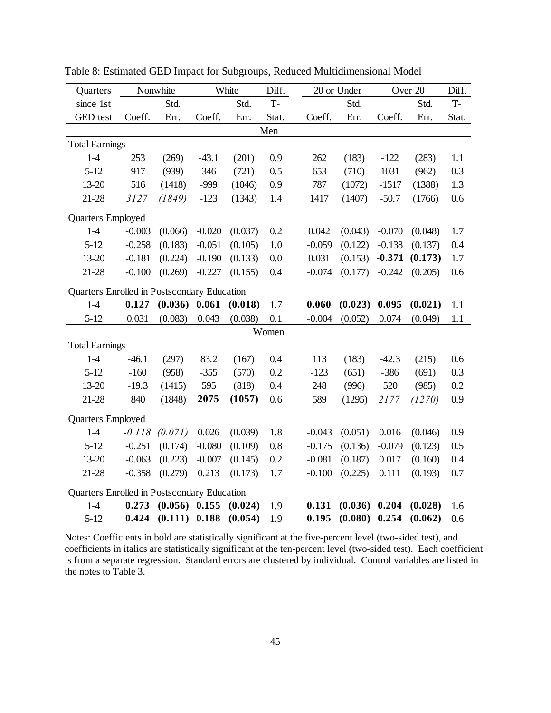| Quarters                                    |          | Nonwhite        |          | White   | Diff. |          | 20 or Under |          | Over 20 | Diff. |
|---------------------------------------------|----------|-----------------|----------|---------|-------|----------|-------------|----------|---------|-------|
| since 1st                                   |          | Std.            |          | Std.    | $T-$  |          | Std.        |          | Std.    | $T -$ |
| <b>GED</b> test                             | Coeff.   | Err.            | Coeff.   | Err.    | Stat. | Coeff.   | Err.        | Coeff.   | Err.    | Stat. |
|                                             |          |                 |          |         | Men   |          |             |          |         |       |
| <b>Total Earnings</b>                       |          |                 |          |         |       |          |             |          |         |       |
| $1-4$                                       | 253      | (269)           | $-43.1$  | (201)   | 0.9   | 262      | (183)       | $-122$   | (283)   | 1.1   |
| $5 - 12$                                    | 917      | (939)           | 346      | (721)   | 0.5   | 653      | (710)       | 1031     | (962)   | 0.3   |
| $13 - 20$                                   | 516      | (1418)          | $-999$   | (1046)  | 0.9   | 787      | (1072)      | $-1517$  | (1388)  | 1.3   |
| $21 - 28$                                   | 3127     | (1849)          | $-123$   | (1343)  | 1.4   | 1417     | (1407)      | $-50.7$  | (1766)  | 0.6   |
| Quarters Employed                           |          |                 |          |         |       |          |             |          |         |       |
| $1-4$                                       | $-0.003$ | (0.066)         | $-0.020$ | (0.037) | 0.2   | 0.042    | (0.043)     | $-0.070$ | (0.048) | 1.7   |
| $5 - 12$                                    | $-0.258$ | (0.183)         | $-0.051$ | (0.105) | 1.0   | $-0.059$ | (0.122)     | $-0.138$ | (0.137) | 0.4   |
| $13 - 20$                                   | $-0.181$ | (0.224)         | $-0.190$ | (0.133) | 0.0   | 0.031    | (0.153)     | $-0.371$ | (0.173) | 1.7   |
| 21-28                                       | $-0.100$ | (0.269)         | $-0.227$ | (0.155) | 0.4   | $-0.074$ | (0.177)     | $-0.242$ | (0.205) | 0.6   |
| Quarters Enrolled in Postscondary Education |          |                 |          |         |       |          |             |          |         |       |
| $1 - 4$                                     | 0.127    | (0.036) 0.061   |          | (0.018) | 1.7   | 0.060    | (0.023)     | 0.095    | (0.021) | 1.1   |
| $5 - 12$                                    | 0.031    | (0.083)         | 0.043    | (0.038) | 0.1   | $-0.004$ | (0.052)     | 0.074    | (0.049) | 1.1   |
|                                             |          |                 |          |         | Women |          |             |          |         |       |
| <b>Total Earnings</b>                       |          |                 |          |         |       |          |             |          |         |       |
| $1-4$                                       | $-46.1$  | (297)           | 83.2     | (167)   | 0.4   | 113      | (183)       | $-42.3$  | (215)   | 0.6   |
| $5 - 12$                                    | $-160$   | (958)           | $-355$   | (570)   | 0.2   | $-123$   | (651)       | $-386$   | (691)   | 0.3   |
| $13 - 20$                                   | $-19.3$  | (1415)          | 595      | (818)   | 0.4   | 248      | (996)       | 520      | (985)   | 0.2   |
| 21-28                                       | 840      | (1848)          | 2075     | (1057)  | 0.6   | 589      | (1295)      | 2177     | (1270)  | 0.9   |
| Quarters Employed                           |          |                 |          |         |       |          |             |          |         |       |
| $1-4$                                       | $-0.118$ | (0.071)         | 0.026    | (0.039) | 1.8   | $-0.043$ | (0.051)     | 0.016    | (0.046) | 0.9   |
| $5 - 12$                                    | $-0.251$ | (0.174)         | $-0.080$ | (0.109) | 0.8   | $-0.175$ | (0.136)     | $-0.079$ | (0.123) | 0.5   |
| $13 - 20$                                   | $-0.063$ | (0.223)         | $-0.007$ | (0.145) | 0.2   | $-0.081$ | (0.187)     | 0.017    | (0.160) | 0.4   |
| $21 - 28$                                   | $-0.358$ | (0.279)         | 0.213    | (0.173) | 1.7   | $-0.100$ | (0.225)     | 0.111    | (0.193) | 0.7   |
| Quarters Enrolled in Postscondary Education |          |                 |          |         |       |          |             |          |         |       |
| $1-4$                                       | 0.273    | $(0.056)$ 0.155 |          | (0.024) | 1.9   | 0.131    | (0.036)     | 0.204    | (0.028) | 1.6   |
| $5 - 12$                                    | 0.424    | (0.111)         | 0.188    | (0.054) | 1.9   | 0.195    | (0.080)     | 0.254    | (0.062) | 0.6   |

Table 8: Estimated GED Impact for Subgroups, Reduced Multidimensional Model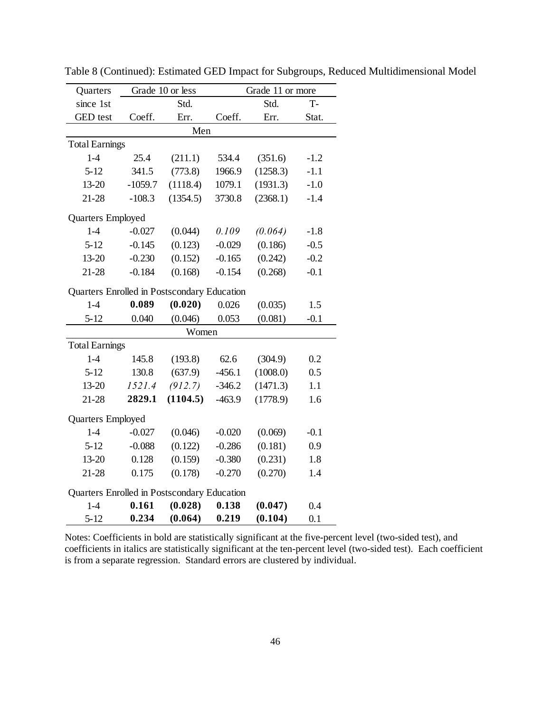| Quarters                                    |           | Grade 10 or less | Grade 11 or more |          |        |  |  |  |  |  |  |  |
|---------------------------------------------|-----------|------------------|------------------|----------|--------|--|--|--|--|--|--|--|
| since 1st                                   | Std.      |                  |                  | Std.     |        |  |  |  |  |  |  |  |
| GED test                                    | Coeff.    | Err.             | Coeff.           | Err.     | Stat.  |  |  |  |  |  |  |  |
| Men                                         |           |                  |                  |          |        |  |  |  |  |  |  |  |
| <b>Total Earnings</b>                       |           |                  |                  |          |        |  |  |  |  |  |  |  |
| $1 - 4$                                     | 25.4      | (211.1)          | 534.4            | (351.6)  | $-1.2$ |  |  |  |  |  |  |  |
| $5 - 12$                                    | 341.5     | (773.8)          | 1966.9           | (1258.3) | $-1.1$ |  |  |  |  |  |  |  |
| 13-20                                       | $-1059.7$ | (1118.4)         | 1079.1           | (1931.3) | $-1.0$ |  |  |  |  |  |  |  |
| $21 - 28$                                   | $-108.3$  | (1354.5)         | 3730.8           | (2368.1) | $-1.4$ |  |  |  |  |  |  |  |
| Quarters Employed                           |           |                  |                  |          |        |  |  |  |  |  |  |  |
| $1-4$                                       | $-0.027$  | (0.044)          | 0.109            | (0.064)  | $-1.8$ |  |  |  |  |  |  |  |
| $5 - 12$                                    | $-0.145$  | (0.123)          | $-0.029$         | (0.186)  | $-0.5$ |  |  |  |  |  |  |  |
| 13-20                                       | $-0.230$  | (0.152)          | $-0.165$         | (0.242)  | $-0.2$ |  |  |  |  |  |  |  |
| 21-28                                       | $-0.184$  | (0.168)          | $-0.154$         | (0.268)  | $-0.1$ |  |  |  |  |  |  |  |
| Quarters Enrolled in Postscondary Education |           |                  |                  |          |        |  |  |  |  |  |  |  |
| $1 - 4$                                     | 0.089     | (0.020)          | 0.026            | (0.035)  | 1.5    |  |  |  |  |  |  |  |
| $5 - 12$                                    | 0.040     | (0.046)          | 0.053            | (0.081)  | $-0.1$ |  |  |  |  |  |  |  |
| Women                                       |           |                  |                  |          |        |  |  |  |  |  |  |  |
| <b>Total Earnings</b>                       |           |                  |                  |          |        |  |  |  |  |  |  |  |
| $1-4$                                       | 145.8     | (193.8)          | 62.6             | (304.9)  | 0.2    |  |  |  |  |  |  |  |
| $5 - 12$                                    | 130.8     | (637.9)          | $-456.1$         | (1008.0) | 0.5    |  |  |  |  |  |  |  |
| 13-20                                       | 1521.4    | (912.7)          | $-346.2$         | (1471.3) | 1.1    |  |  |  |  |  |  |  |
| $21 - 28$                                   | 2829.1    | (1104.5)         | $-463.9$         | (1778.9) | 1.6    |  |  |  |  |  |  |  |
| Quarters Employed                           |           |                  |                  |          |        |  |  |  |  |  |  |  |
| $1-4$                                       | $-0.027$  | (0.046)          | $-0.020$         | (0.069)  | $-0.1$ |  |  |  |  |  |  |  |
| $5 - 12$                                    | $-0.088$  | (0.122)          | $-0.286$         | (0.181)  | 0.9    |  |  |  |  |  |  |  |
| 13-20                                       | 0.128     | (0.159)          | $-0.380$         | (0.231)  | 1.8    |  |  |  |  |  |  |  |
| $21 - 28$                                   | 0.175     | (0.178)          | $-0.270$         | (0.270)  | 1.4    |  |  |  |  |  |  |  |
| Quarters Enrolled in Postscondary Education |           |                  |                  |          |        |  |  |  |  |  |  |  |
| $1-4$                                       | 0.161     | (0.028)          | 0.138            | (0.047)  | 0.4    |  |  |  |  |  |  |  |
| $5 - 12$                                    | 0.234     | (0.064)          | 0.219            | (0.104)  | 0.1    |  |  |  |  |  |  |  |

Table 8 (Continued): Estimated GED Impact for Subgroups, Reduced Multidimensional Model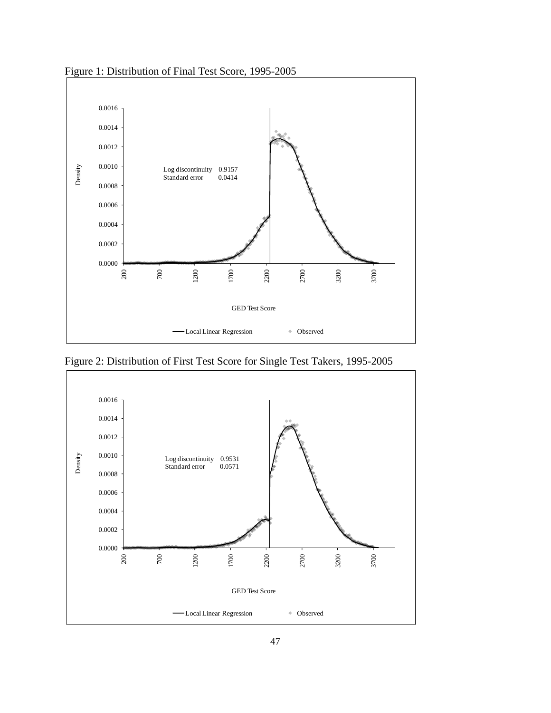

Figure 1: Distribution of Final Test Score, 1995-2005

Figure 2: Distribution of First Test Score for Single Test Takers, 1995-2005

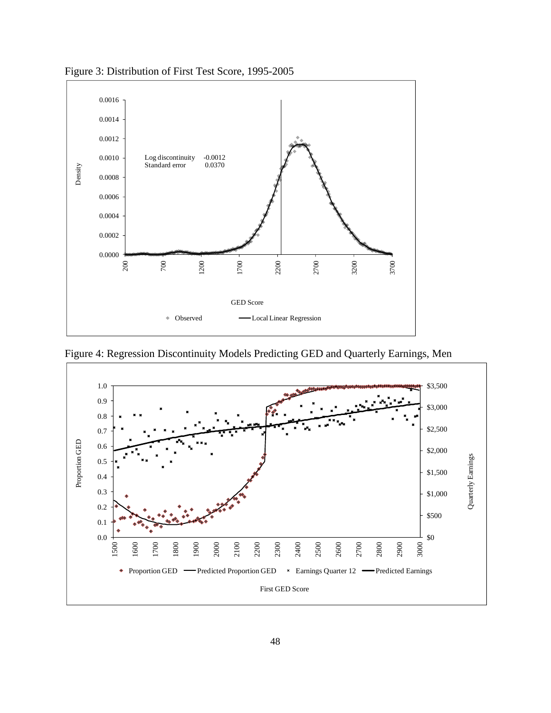

Figure 3: Distribution of First Test Score, 1995-2005

Figure 4: Regression Discontinuity Models Predicting GED and Quarterly Earnings, Men

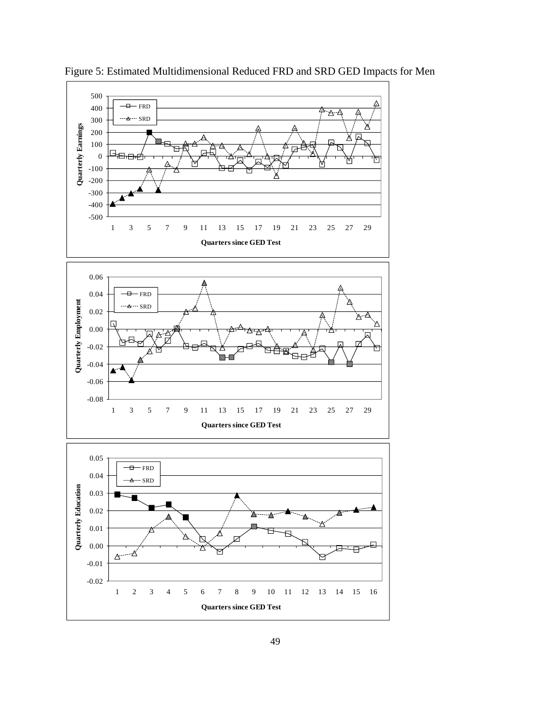

Figure 5: Estimated Multidimensional Reduced FRD and SRD GED Impacts for Men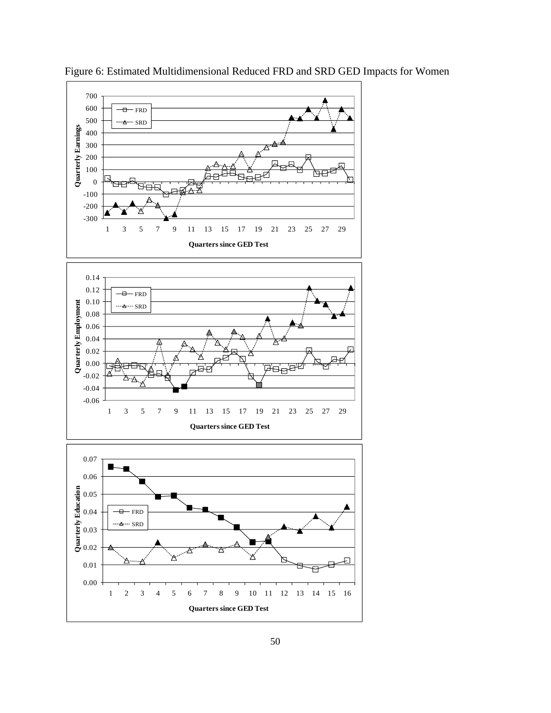

Figure 6: Estimated Multidimensional Reduced FRD and SRD GED Impacts for Women